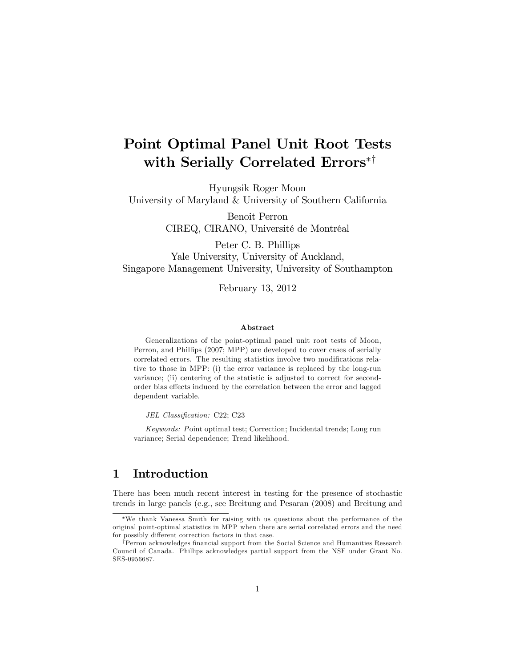# Point Optimal Panel Unit Root Tests with Serially Correlated Errors\*<sup>†</sup>

Hyungsik Roger Moon University of Maryland & University of Southern California

> Benoit Perron CIREQ, CIRANO, Université de Montréal

Peter C. B. Phillips Yale University, University of Auckland, Singapore Management University, University of Southampton

February 13, 2012

#### Abstract

Generalizations of the point-optimal panel unit root tests of Moon, Perron, and Phillips (2007; MPP) are developed to cover cases of serially correlated errors. The resulting statistics involve two modifications relative to those in MPP: (i) the error variance is replaced by the long-run variance; (ii) centering of the statistic is adjusted to correct for secondorder bias effects induced by the correlation between the error and lagged dependent variable.

JEL Classification: C22; C23

Keywords: Point optimal test; Correction; Incidental trends; Long run variance; Serial dependence; Trend likelihood.

## 1 Introduction

There has been much recent interest in testing for the presence of stochastic trends in large panels (e.g., see Breitung and Pesaran (2008) and Breitung and

We thank Vanessa Smith for raising with us questions about the performance of the original point-optimal statistics in MPP when there are serial correlated errors and the need for possibly different correction factors in that case.

<sup>&</sup>lt;sup>†</sup>Perron acknowledges financial support from the Social Science and Humanities Research Council of Canada. Phillips acknowledges partial support from the NSF under Grant No. SES-0956687.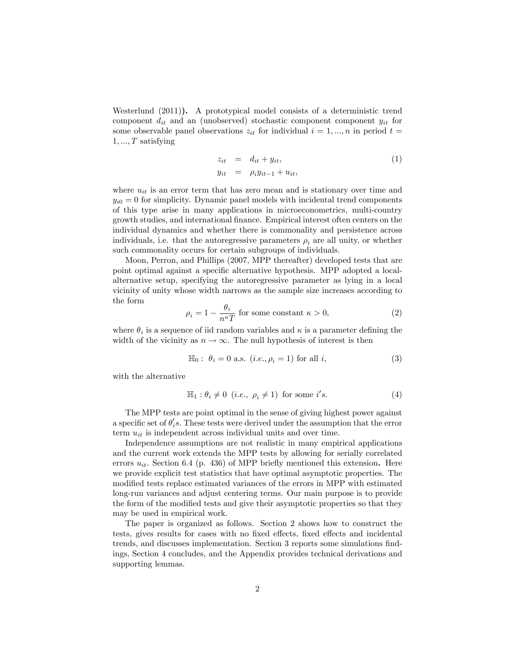Westerlund (2011)). A prototypical model consists of a deterministic trend component  $d_{it}$  and an (unobserved) stochastic component component  $y_{it}$  for some observable panel observations  $z_{it}$  for individual  $i = 1, ..., n$  in period  $t =$  $1, ..., T$  satisfying

$$
z_{it} = d_{it} + y_{it},
$$
  
\n
$$
y_{it} = \rho_i y_{it-1} + u_{it},
$$
\n(1)

where  $u_{it}$  is an error term that has zero mean and is stationary over time and  $y_{i0} = 0$  for simplicity. Dynamic panel models with incidental trend components of this type arise in many applications in microeconometrics, multi-country growth studies, and international Önance. Empirical interest often centers on the individual dynamics and whether there is commonality and persistence across individuals, i.e. that the autoregressive parameters  $\rho_i$  are all unity, or whether such commonality occurs for certain subgroups of individuals.

Moon, Perron, and Phillips (2007, MPP thereafter) developed tests that are point optimal against a speciÖc alternative hypothesis. MPP adopted a localalternative setup, specifying the autoregressive parameter as lying in a local vicinity of unity whose width narrows as the sample size increases according to the form

$$
\rho_i = 1 - \frac{\theta_i}{n^{\kappa} T} \text{ for some constant } \kappa > 0,
$$
\n(2)

where  $\theta_i$  is a sequence of iid random variables and  $\kappa$  is a parameter defining the width of the vicinity as  $n \to \infty$ . The null hypothesis of interest is then

$$
\mathbb{H}_0: \ \theta_i = 0 \text{ a.s. } (i.e., \rho_i = 1) \text{ for all } i,
$$
 (3)

with the alternative

$$
\mathbb{H}_1: \theta_i \neq 0 \ \ (i.e., \ \rho_i \neq 1) \ \text{for some } i's. \tag{4}
$$

The MPP tests are point optimal in the sense of giving highest power against a specific set of  $\theta_i$ 's. These tests were derived under the assumption that the error term  $u_{it}$  is independent across individual units and over time.

Independence assumptions are not realistic in many empirical applications and the current work extends the MPP tests by allowing for serially correlated errors  $u_{it}$ . Section 6.4 (p. 436) of MPP briefly mentioned this extension. Here we provide explicit test statistics that have optimal asymptotic properties. The modified tests replace estimated variances of the errors in MPP with estimated long-run variances and adjust centering terms. Our main purpose is to provide the form of the modified tests and give their asymptotic properties so that they may be used in empirical work.

The paper is organized as follows. Section 2 shows how to construct the tests, gives results for cases with no fixed effects, fixed effects and incidental trends, and discusses implementation. Section 3 reports some simulations findings, Section 4 concludes, and the Appendix provides technical derivations and supporting lemmas.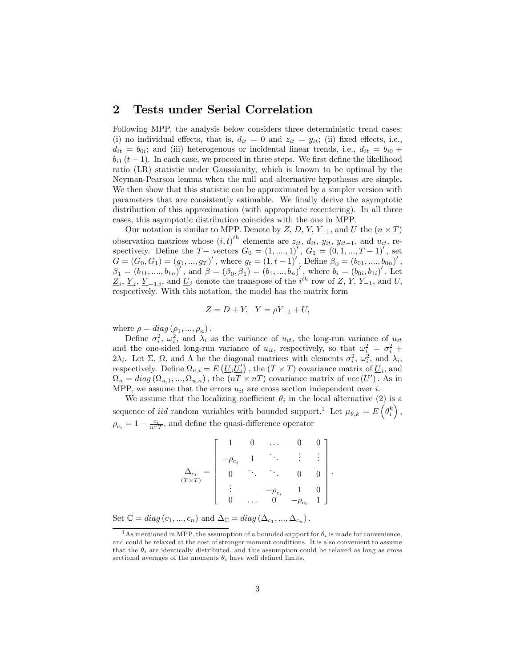## 2 Tests under Serial Correlation

Following MPP, the analysis below considers three deterministic trend cases: (i) no individual effects, that is,  $d_{it} = 0$  and  $z_{it} = y_{it}$ ; (ii) fixed effects, i.e.,  $d_{it} = b_{0i}$ ; and (iii) heterogenous or incidental linear trends, i.e.,  $d_{it} = b_{i0} +$  $b_{i1}$   $(t-1)$ . In each case, we proceed in three steps. We first define the likelihood ratio (LR) statistic under Gaussianity, which is known to be optimal by the Neyman-Pearson lemma when the null and alternative hypotheses are simple. We then show that this statistic can be approximated by a simpler version with parameters that are consistently estimable. We Önally derive the asymptotic distribution of this approximation (with appropriate recentering). In all three cases, this asymptotic distribution coincides with the one in MPP.

Our notation is similar to MPP. Denote by Z, D, Y, Y<sub>-1</sub>, and U the  $(n \times T)$ observation matrices whose  $(i, t)^{th}$  elements are  $z_{it}$ ,  $d_{it}$ ,  $y_{it}$ ,  $y_{it-1}$ , and  $u_{it}$ , respectively. Define the  $T-$  vectors  $G_0 = (1, ..., 1)$ ,  $G_1 = (0, 1, ..., T-1)$ , set  $G = (G_0, G_1) = (g_1, ..., g_T)'$ , where  $g_t = (1, t - 1)'$ . Define  $\beta_0 = (b_{01}, ..., b_{0n})'$ ,  $\beta_1 = (b_{11},...,b_{1n})'$ , and  $\beta = (\beta_0, \beta_1) = (b_1,...,b_n)'$ , where  $b_i = (b_{0i}, b_{1i})'$ . Let  $\underline{Z}_i, \underline{Y}_i, \underline{Y}_{-1,i}$ , and  $\underline{U}_i$  denote the transpose of the  $i^{th}$  row of  $Z, Y, Y_{-1}$ , and  $U$ , respectively. With this notation, the model has the matrix form

$$
Z = D + Y, \ \ Y = \rho Y_{-1} + U,
$$

where  $\rho = diag(\rho_1, ..., \rho_n)$ .

Define  $\sigma_i^2$ ,  $\omega_i^2$ , and  $\lambda_i$  as the variance of  $u_{it}$ , the long-run variance of  $u_{it}$ and the one-sided long-run variance of  $u_{it}$ , respectively, so that  $\omega_i^2 = \sigma_i^2 + \sigma_i^2$  $2\lambda_i$ . Let  $\Sigma$ ,  $\Omega$ , and  $\Lambda$  be the diagonal matrices with elements  $\sigma_i^2$ ,  $\omega_i^2$ , and  $\lambda_i$ , respectively. Define  $\Omega_{u,i} = E\left(\underline{U}_i \underline{U}'_i\right)$ , the  $(T \times T)$  covariance matrix of  $\underline{U}_i$ , and  $\Omega_u = diag(\Omega_{u,1},...,\Omega_{u,n})$ , the  $(nT \times nT)$  covariance matrix of  $vec(U')$ . As in MPP, we assume that the errors  $u_{it}$  are cross section independent over i.

We assume that the localizing coefficient  $\theta_i$  in the local alternative (2) is a sequence of *iid* random variables with bounded support.<sup>1</sup> Let  $\mu_{\theta,k} = E\left(\theta_i^k\right)$ ,  $\rho_{c_i} = 1 - \frac{c_i}{n^{\kappa}T}$ , and define the quasi-difference operator

| $(T \times T)$ | $\overline{a}$<br>$\overline{c_i}$ |                  |       |  |
|----------------|------------------------------------|------------------|-------|--|
|                |                                    |                  |       |  |
|                |                                    | $\overline{c}_i$ |       |  |
|                |                                    |                  | $c_i$ |  |

:

Set  $\mathbb{C} = diag(c_1, ..., c_n)$  and  $\Delta_{\mathbb{C}} = diag(\Delta_{c_1}, ..., \Delta_{c_n}).$ 

<sup>&</sup>lt;sup>1</sup>As mentioned in MPP, the assumption of a bounded support for  $\theta_i$  is made for convenience, and could be relaxed at the cost of stronger moment conditions. It is also convenient to assume that the  $\theta_i$  are identically distributed, and this assumption could be relaxed as long as cross sectional averages of the moments  $\theta_i$  have well defined limits.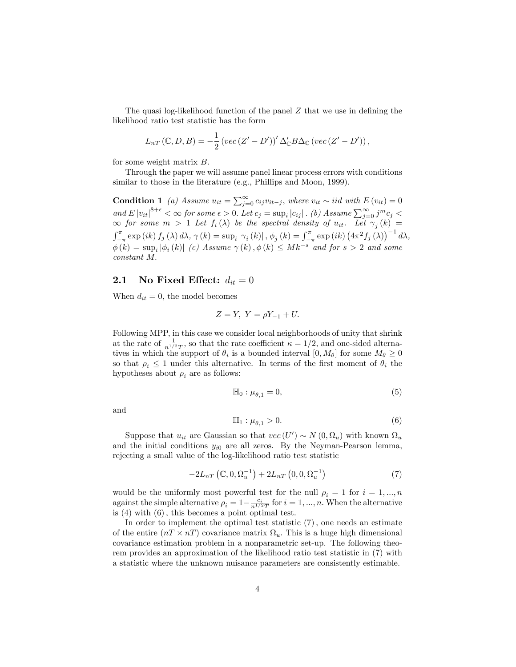The quasi log-likelihood function of the panel  $Z$  that we use in defining the likelihood ratio test statistic has the form

$$
L_{nT}(\mathbb{C}, D, B) = -\frac{1}{2} \left( vec(Z' - D') \right)' \Delta'_{\mathbb{C}} B \Delta_{\mathbb{C}} \left( vec(Z' - D') \right),
$$

for some weight matrix  $B$ .

Through the paper we will assume panel linear process errors with conditions similar to those in the literature (e.g., Phillips and Moon, 1999).

**Condition 1** (a) Assume  $u_{it} = \sum_{j=0}^{\infty} c_{ij} v_{it-j}$ , where  $v_{it} \sim iid$  with  $E(v_{it}) = 0$ and  $E |v_{it}|^{8+\epsilon} < \infty$  for some  $\epsilon > 0$ . Let  $c_j = \sup_i |c_{ij}|$ . (b) Assume  $\sum_{j=0}^{\infty} j^m c_j <$  $\infty$  for some  $m > 1$  Let  $f_i(\lambda)$  be the spectral density of  $u_{it}$ . Let  $\gamma_j(k)$  =  $\int_{-\pi}^{\pi} \exp\left(ik\right) f_j(\lambda) d\lambda, \gamma(k) = \sup_i |\gamma_i(k)|, \phi_j(k) = \int_{-\pi}^{\pi} \exp\left(ik\right) \left(4\pi^2 f_j(\lambda)\right)^{-1} d\lambda,$  $\phi(k) = \sup_i |\phi_i(k)|$  (c) Assume  $\gamma(k), \phi(k) \leq Mk^{-s}$  and for  $s > 2$  and some constant M:

#### 2.1 No Fixed Effect:  $d_{it} = 0$

When  $d_{it} = 0$ , the model becomes

$$
Z = Y, \ Y = \rho Y_{-1} + U.
$$

Following MPP, in this case we consider local neighborhoods of unity that shrink at the rate of  $\frac{1}{n^{1/2}T}$ , so that the rate coefficient  $\kappa = 1/2$ , and one-sided alternatives in which the support of  $\theta_i$  is a bounded interval  $[0, M_\theta]$  for some  $M_\theta \geq 0$ so that  $\rho_i \leq 1$  under this alternative. In terms of the first moment of  $\theta_i$  the hypotheses about  $\rho_i$  are as follows:

$$
\mathbb{H}_0: \mu_{\theta,1} = 0,\tag{5}
$$

and

$$
\mathbb{H}_1: \mu_{\theta,1} > 0. \tag{6}
$$

Suppose that  $u_{it}$  are Gaussian so that  $vec(U') \sim N(0, \Omega_u)$  with known  $\Omega_u$ and the initial conditions  $y_{i0}$  are all zeros. By the Neyman-Pearson lemma, rejecting a small value of the log-likelihood ratio test statistic

$$
-2L_{nT}\left(\mathbb{C},0,\Omega_{u}^{-1}\right) + 2L_{nT}\left(0,0,\Omega_{u}^{-1}\right) \tag{7}
$$

would be the uniformly most powerful test for the null  $\rho_i = 1$  for  $i = 1, ..., n$ against the simple alternative  $\rho_i = 1 - \frac{c_i}{n^{1/2}T}$  for  $i = 1, ..., n$ . When the alternative is  $(4)$  with  $(6)$ , this becomes a point optimal test.

In order to implement the optimal test statistic  $(7)$ , one needs an estimate of the entire  $(nT \times nT)$  covariance matrix  $\Omega_u$ . This is a huge high dimensional covariance estimation problem in a nonparametric set-up. The following theorem provides an approximation of the likelihood ratio test statistic in (7) with a statistic where the unknown nuisance parameters are consistently estimable.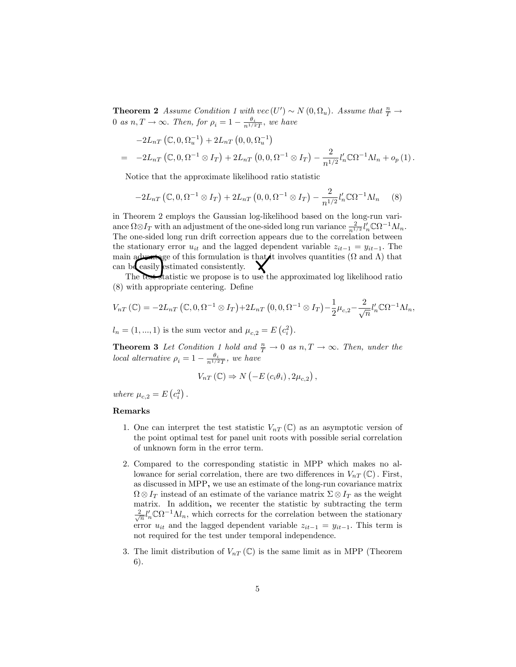**Theorem 2** Assume Condition 1 with  $vec(U') \sim N(0, \Omega_u)$ . Assume that  $\frac{n}{T} \to$ 0 as  $n, T \rightarrow \infty$ . Then, for  $\rho_i = 1 - \frac{\theta_i}{n^{1/2}T}$ , we have

$$
-2L_{nT} (\mathbb{C}, 0, \Omega_u^{-1}) + 2L_{nT} (0, 0, \Omega_u^{-1})
$$
  
=  $-2L_{nT} (\mathbb{C}, 0, \Omega^{-1} \otimes I_T) + 2L_{nT} (0, 0, \Omega^{-1} \otimes I_T) - \frac{2}{n^{1/2}} l'_n \mathbb{C} \Omega^{-1} \Lambda l_n + o_p (1).$ 

Notice that the approximate likelihood ratio statistic

$$
-2L_{nT}\left(\mathbb{C},0,\Omega^{-1}\otimes I_T\right) + 2L_{nT}\left(0,0,\Omega^{-1}\otimes I_T\right) - \frac{2}{n^{1/2}}l_n'\mathbb{C}\Omega^{-1}\Lambda l_n\tag{8}
$$

in Theorem 2 employs the Gaussian log-likelihood based on the long-run variance  $\Omega \otimes I_T$  with an adjustment of the one-sided long run variance  $\frac{2}{n^{1/2}} l'_n \mathbb{C} \Omega^{-1} \Lambda l_n$ . The one-sided long run drift correction appears due to the correlation between the stationary error  $u_{it}$  and the lagged dependent variable  $z_{it-1} = y_{it-1}$ . The main advantage of this formulation is that it involves quantities  $(\Omega \text{ and } \Lambda)$  that can be easily estimated consistently. The test statistic we propose is to use the approximated log likelihood ratio

 $(8)$  with appropriate centering. Define

$$
V_{nT}(\mathbb{C}) = -2L_{nT}(\mathbb{C}, 0, \Omega^{-1} \otimes I_T) + 2L_{nT}(0, 0, \Omega^{-1} \otimes I_T) - \frac{1}{2}\mu_{c,2} - \frac{2}{\sqrt{n}}l_n'\mathbb{C}\Omega^{-1}\Lambda l_n,
$$

 $l_n = (1, ..., 1)$  is the sum vector and  $\mu_{c,2} = E(c_i^2)$ .

**Theorem 3** Let Condition 1 hold and  $\frac{n}{T} \to 0$  as  $n, T \to \infty$ . Then, under the local alternative  $\rho_i = 1 - \frac{\theta_i}{n^{1/2}T}$ , we have

$$
V_{nT}(\mathbb{C}) \Rightarrow N\left(-E\left(c_i\theta_i\right), 2\mu_{c,2}\right),
$$

where  $\mu_{c,2} = E\left(c_i^2\right)$ .

#### Remarks

- 1. One can interpret the test statistic  $V_{nT}(\mathbb{C})$  as an asymptotic version of the point optimal test for panel unit roots with possible serial correlation of unknown form in the error term.
- 2. Compared to the corresponding statistic in MPP which makes no allowance for serial correlation, there are two differences in  $V_{nT}(\mathbb{C})$ . First, as discussed in MPP, we use an estimate of the long-run covariance matrix  $\Omega \otimes I_T$  instead of an estimate of the variance matrix  $\Sigma \otimes I_T$  as the weight matrix. In addition, we recenter the statistic by subtracting the term  $\frac{2}{\sqrt{n}}l'_n\mathbb{C}\Omega^{-1}\Lambda l_n$ , which corrects for the correlation between the stationary error  $u_{it}$  and the lagged dependent variable  $z_{it-1} = y_{it-1}$ . This term is not required for the test under temporal independence.
- 3. The limit distribution of  $V_{nT}(\mathbb{C})$  is the same limit as in MPP (Theorem 6).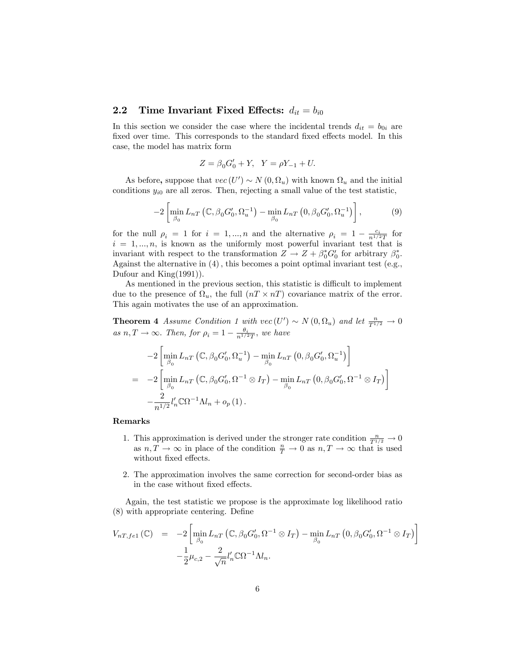#### 2.2 Time Invariant Fixed Effects:  $d_{it} = b_{i0}$

In this section we consider the case where the incidental trends  $d_{it} = b_{0i}$  are fixed over time. This corresponds to the standard fixed effects model. In this case, the model has matrix form

$$
Z = \beta_0 G'_0 + Y, \ \ Y = \rho Y_{-1} + U.
$$

As before, suppose that  $vec(U') \sim N(0, \Omega_u)$  with known  $\Omega_u$  and the initial conditions  $y_{i0}$  are all zeros. Then, rejecting a small value of the test statistic,

$$
-2\left[\min_{\beta_0} L_{nT}\left(\mathbb{C}, \beta_0 G'_0, \Omega_u^{-1}\right) - \min_{\beta_0} L_{nT}\left(0, \beta_0 G'_0, \Omega_u^{-1}\right)\right],\tag{9}
$$

for the null  $\rho_i = 1$  for  $i = 1, ..., n$  and the alternative  $\rho_i = 1 - \frac{c_i}{n^{1/2}T}$  for  $i = 1, \ldots, n$ , is known as the uniformly most powerful invariant test that is invariant with respect to the transformation  $Z \to Z + \beta_0^* G_0'$  for arbitrary  $\beta_0^*$ . Against the alternative in  $(4)$ , this becomes a point optimal invariant test (e.g., Dufour and King(1991)).

As mentioned in the previous section, this statistic is difficult to implement due to the presence of  $\Omega_u$ , the full  $(nT \times nT)$  covariance matrix of the error. This again motivates the use of an approximation.

**Theorem 4** Assume Condition 1 with  $vec(U') \sim N(0, \Omega_u)$  and let  $\frac{n}{T^{1/2}} \to 0$ as  $n, T \rightarrow \infty$ . Then, for  $\rho_i = 1 - \frac{\theta_i}{n^{1/2}T}$ , we have

$$
-2\left[\min_{\beta_0} L_{nT} \left( \mathbb{C}, \beta_0 G'_0, \Omega_u^{-1} \right) - \min_{\beta_0} L_{nT} \left( 0, \beta_0 G'_0, \Omega_u^{-1} \right) \right]
$$
  
= -2\left[\min\_{\beta\_0} L\_{nT} \left( \mathbb{C}, \beta\_0 G'\_0, \Omega^{-1} \otimes I\_T \right) - \min\_{\beta\_0} L\_{nT} \left( 0, \beta\_0 G'\_0, \Omega^{-1} \otimes I\_T \right) \right]  
- \frac{2}{n^{1/2}} l'\_n \mathbb{C} \Omega^{-1} \Lambda l\_n + o\_p(1).

#### Remarks

- 1. This approximation is derived under the stronger rate condition  $\frac{n}{T^{1/2}} \to 0$ as  $n, T \to \infty$  in place of the condition  $\frac{n}{T} \to 0$  as  $n, T \to \infty$  that is used without fixed effects.
- 2. The approximation involves the same correction for second-order bias as in the case without fixed effects.

Again, the test statistic we propose is the approximate log likelihood ratio  $(8)$  with appropriate centering. Define

$$
V_{nT,fe1}(\mathbb{C}) = -2 \left[ \min_{\beta_0} L_{nT} \left( \mathbb{C}, \beta_0 G'_0, \Omega^{-1} \otimes I_T \right) - \min_{\beta_0} L_{nT} \left( 0, \beta_0 G'_0, \Omega^{-1} \otimes I_T \right) \right]
$$

$$
- \frac{1}{2} \mu_{c,2} - \frac{2}{\sqrt{n}} l'_n \mathbb{C} \Omega^{-1} \Lambda l_n.
$$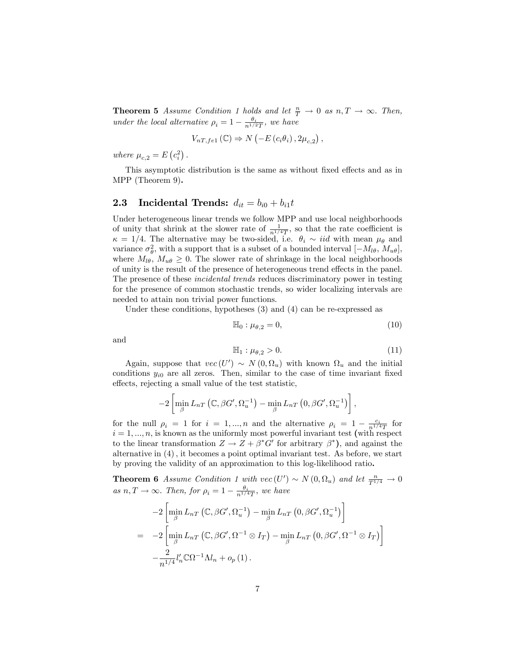**Theorem 5** Assume Condition 1 holds and let  $\frac{n}{T} \to 0$  as  $n, T \to \infty$ . Then, under the local alternative  $\rho_i = 1 - \frac{\theta_i}{n^{1/2}T}$ , we have

$$
V_{nT,fe1}(\mathbb{C}) \Rightarrow N\left(-E\left(c_i\theta_i\right), 2\mu_{c,2}\right),
$$

where  $\mu_{c,2} = E\left(c_i^2\right)$ .

This asymptotic distribution is the same as without fixed effects and as in MPP (Theorem 9).

## 2.3 Incidental Trends:  $d_{it} = b_{i0} + b_{i1}t$

Under heterogeneous linear trends we follow MPP and use local neighborhoods of unity that shrink at the slower rate of  $\frac{1}{n^{1/4}T}$ , so that the rate coefficient is  $\kappa = 1/4$ . The alternative may be two-sided, i.e.  $\theta_i \sim \textit{iid}$  with mean  $\mu_{\theta}$  and variance  $\sigma_{\theta}^2$ , with a support that is a subset of a bounded interval  $[-M_{l\theta}, M_{u\theta}]$ , where  $M_{l\theta}$ ,  $M_{u\theta} \geq 0$ . The slower rate of shrinkage in the local neighborhoods of unity is the result of the presence of heterogeneous trend effects in the panel. The presence of these incidental trends reduces discriminatory power in testing for the presence of common stochastic trends, so wider localizing intervals are needed to attain non trivial power functions.

Under these conditions, hypotheses (3) and (4) can be re-expressed as

$$
\mathbb{H}_0: \mu_{\theta,2} = 0,\tag{10}
$$

and

$$
\mathbb{H}_1: \mu_{\theta,2} > 0. \tag{11}
$$

Again, suppose that  $vec(U') \sim N(0, \Omega_u)$  with known  $\Omega_u$  and the initial conditions  $y_{i0}$  are all zeros. Then, similar to the case of time invariant fixed effects, rejecting a small value of the test statistic,

$$
-2\left[\min_{\beta} L_{nT}\left(\mathbb{C}, \beta G', \Omega_u^{-1}\right) - \min_{\beta} L_{nT}\left(0, \beta G', \Omega_u^{-1}\right)\right],
$$

for the null  $\rho_i = 1$  for  $i = 1, ..., n$  and the alternative  $\rho_i = 1 - \frac{c_i}{n^{1/4}T}$  for  $i = 1, \ldots, n$ , is known as the uniformly most powerful invariant test (with respect to the linear transformation  $Z \to Z + \beta^* G'$  for arbitrary  $\beta^*$ , and against the alternative in  $(4)$ , it becomes a point optimal invariant test. As before, we start by proving the validity of an approximation to this log-likelihood ratio.

**Theorem 6** Assume Condition 1 with  $vec(U') \sim N(0, \Omega_u)$  and let  $\frac{n}{T^{1/4}} \to 0$ as  $n, T \rightarrow \infty$ . Then, for  $\rho_i = 1 - \frac{\theta_i}{n^{1/4}T}$ , we have

$$
-2\left[\min_{\beta} L_{nT}\left(\mathbb{C}, \beta G', \Omega_u^{-1}\right) - \min_{\beta} L_{nT}\left(0, \beta G', \Omega_u^{-1}\right)\right]
$$
  
=\ -2\left[\min\_{\beta} L\_{nT}\left(\mathbb{C}, \beta G', \Omega^{-1} \otimes I\_T\right) - \min\_{\beta} L\_{nT}\left(0, \beta G', \Omega^{-1} \otimes I\_T\right)\right]  
- \frac{2}{n^{1/4}}l'\_n\mathbb{C}\Omega^{-1}\Lambda l\_n + o\_p(1).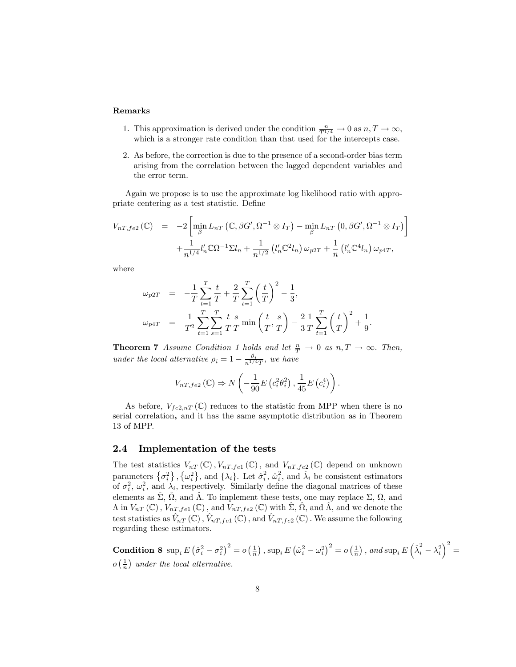#### Remarks

- 1. This approximation is derived under the condition  $\frac{n}{T^{1/4}} \to 0$  as  $n, T \to \infty$ , which is a stronger rate condition than that used for the intercepts case.
- 2. As before, the correction is due to the presence of a second-order bias term arising from the correlation between the lagged dependent variables and the error term.

Again we propose is to use the approximate log likelihood ratio with appropriate centering as a test statistic. Define

$$
V_{nT,fe2}(\mathbb{C}) = -2 \left[ \min_{\beta} L_{nT} \left( \mathbb{C}, \beta G', \Omega^{-1} \otimes I_T \right) - \min_{\beta} L_{nT} \left( 0, \beta G', \Omega^{-1} \otimes I_T \right) \right] + \frac{1}{n^{1/4}} l'_n \mathbb{C} \Omega^{-1} \Sigma l_n + \frac{1}{n^{1/2}} \left( l'_n \mathbb{C}^2 l_n \right) \omega_{p2T} + \frac{1}{n} \left( l'_n \mathbb{C}^4 l_n \right) \omega_{p4T},
$$

where

$$
\omega_{p2T} = -\frac{1}{T} \sum_{t=1}^{T} \frac{t}{T} + \frac{2}{T} \sum_{t=1}^{T} \left(\frac{t}{T}\right)^2 - \frac{1}{3},
$$
  

$$
\omega_{p4T} = \frac{1}{T^2} \sum_{t=1}^{T} \sum_{s=1}^{T} \frac{t}{T} \frac{s}{T} \min\left(\frac{t}{T}, \frac{s}{T}\right) - \frac{2}{3} \frac{1}{T} \sum_{t=1}^{T} \left(\frac{t}{T}\right)^2 + \frac{1}{9}.
$$

**Theorem 7** Assume Condition 1 holds and let  $\frac{n}{T} \to 0$  as  $n, T \to \infty$ . Then, under the local alternative  $\rho_i = 1 - \frac{\theta_i}{n^{1/4}T}$ , we have

$$
V_{nT,fe2}(\mathbb{C}) \Rightarrow N\left(-\frac{1}{90}E\left(c_i^2\theta_i^2\right), \frac{1}{45}E\left(c_i^4\right)\right).
$$

As before,  $V_{fe2,nT}(\mathbb{C})$  reduces to the statistic from MPP when there is no serial correlation, and it has the same asymptotic distribution as in Theorem 13 of MPP.

#### 2.4 Implementation of the tests

The test statistics  $V_{nT}(\mathbb{C}), V_{nT, fe1}(\mathbb{C}),$  and  $V_{nT, fe2}(\mathbb{C})$  depend on unknown parameters  $\{\sigma_i^2\}$ ,  $\{\omega_i^2\}$ , and  $\{\lambda_i\}$ . Let  $\hat{\sigma}_i^2$ ,  $\hat{\omega}_i^2$ , and  $\hat{\lambda}_i$  be consistent estimators of  $\sigma_i^2$ ,  $\omega_i^2$ , and  $\lambda_i$ , respectively. Similarly define the diagonal matrices of these elements as  $\hat{\Sigma}$ ,  $\hat{\Omega}$ , and  $\hat{\Lambda}$ . To implement these tests, one may replace  $\Sigma$ ,  $\Omega$ , and  $\Lambda$  in  $V_{nT}$  (C),  $V_{nT,fe1}$  (C), and  $V_{nT,fe2}$  (C) with  $\hat{\Sigma}$ ,  $\hat{\Omega}$ , and  $\hat{\Lambda}$ , and we denote the test statistics as  $\hat{V}_{nT}(\mathbb{C})$  ,  $\hat{V}_{nT,fe1}(\mathbb{C})$  , and  $\hat{V}_{nT,fe2}(\mathbb{C})$  . We assume the following regarding these estimators.

 $\textbf{Condition 8} \ \sup_i E\left(\hat{\sigma}_i^2 - \sigma_i^2\right)^2 = o\left(\frac{1}{n}\right), \sup_i E\left(\hat{\omega}_i^2 - \omega_i^2\right)^2 = o\left(\frac{1}{n}\right), \text{ and } \sup_i E\left(\hat{\lambda}_i^2 - \lambda_i^2\right)^2 = o\left(\frac{1}{n}\right)$  $o\left(\frac{1}{n}\right)$  under the local alternative.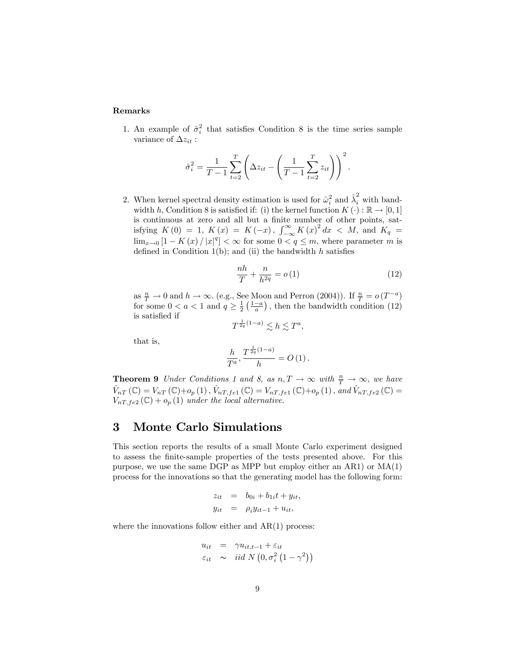## Remarks

1. An example of  $\hat{\sigma}_i^2$  that satisfies Condition 8 is the time series sample variance of  $\Delta z_{it}$ :

$$
\hat{\sigma}_i^2 = \frac{1}{T-1} \sum_{t=2}^T \left( \Delta z_{it} - \left( \frac{1}{T-1} \sum_{t=2}^T z_{it} \right) \right)^2.
$$

2. When kernel spectral density estimation is used for  $\hat{\omega}_i^2$  and  $\hat{\lambda}_i^2$  with bandwidth h, Condition 8 is satisfied if: (i) the kernel function  $K(\cdot): \mathbb{R} \to [0,1]$ is continuous at zero and all but a finite number of other points, satisfying  $K(0) = 1, K(x) = K(-x), \int_{-\infty}^{\infty} K(x)^2 dx < M$ , and  $K_q =$  $\lim_{x\to 0} [1 - K(x) / |x|^q] < \infty$  for some  $0 < q \le m$ , where parameter m is defined in Condition  $1(b)$ ; and (ii) the bandwidth h satisfies

$$
\frac{nh}{T} + \frac{n}{h^{2q}} = o(1) \tag{12}
$$

as  $\frac{n}{T} \to 0$  and  $h \to \infty$ . (e.g., See Moon and Perron (2004)). If  $\frac{n}{T} = o(T^{-a})$ for some  $0 < a < 1$  and  $q \ge \frac{1}{2} \left( \frac{1-a}{a} \right)$ , then the bandwidth condition (12) is satisfied if  $1/1$ 

$$
T^{\frac{1}{2q}(1-a)} \lesssim h \lesssim T^a,
$$

that is,

$$
\frac{h}{T^a}, \frac{T^{\frac{1}{2q}(1-a)}}{h} = O(1).
$$

**Theorem 9** Under Conditions 1 and 8, as  $n, T \to \infty$  with  $\frac{n}{T} \to \infty$ , we have  $\hat{V}_{nT} (\mathbb{C}) = V_{nT} (\mathbb{C}) + o_p (1)$ ,  $\hat{V}_{nT,fe1} (\mathbb{C}) = V_{nT,fe1} (\mathbb{C}) + o_p (1)$ , and  $\hat{V}_{nT,fe2} (\mathbb{C}) =$  $V_{nT,fe2}(\mathbb{C})+o_p(1)$  under the local alternative.

## 3 Monte Carlo Simulations

This section reports the results of a small Monte Carlo experiment designed to assess the Önite-sample properties of the tests presented above. For this purpose, we use the same DGP as MPP but employ either an AR1) or MA(1) process for the innovations so that the generating model has the following form:

$$
z_{it} = b_{0i} + b_{1i}t + y_{it},
$$
  

$$
y_{it} = \rho_i y_{it-1} + u_{it},
$$

where the innovations follow either and  $AR(1)$  process:

$$
u_{it} = \gamma u_{it,t-1} + \varepsilon_{it}
$$
  
\n
$$
\varepsilon_{it} \sim \text{iid } N(0, \sigma_i^2(1-\gamma^2))
$$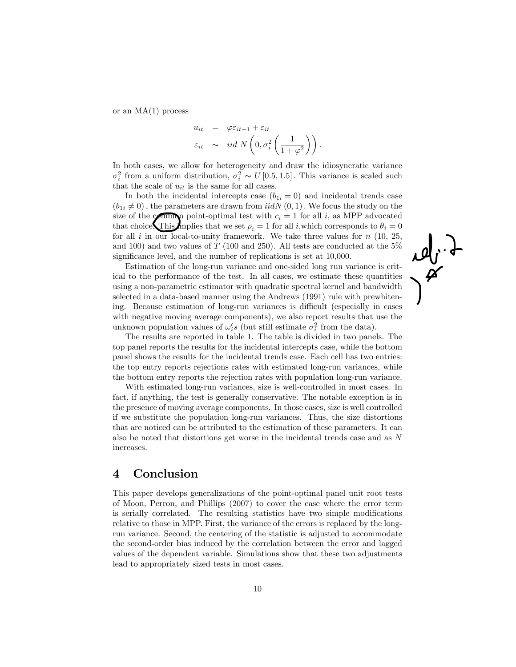or an  $MA(1)$  process

$$
u_{it} = \varphi \varepsilon_{it-1} + \varepsilon_{it}
$$
  

$$
\varepsilon_{it} \sim \text{iid } N\left(0, \sigma_i^2 \left(\frac{1}{1+\varphi^2}\right)\right).
$$

In both cases, we allow for heterogeneity and draw the idiosyncratic variance  $\sigma_i^2$  from a uniform distribution,  $\sigma_i^2 \sim U[0.5, 1.5]$ . This variance is scaled such that the scale of  $u_{it}$  is the same for all cases.

In both the incidental intercepts case  $(b_{1i} = 0)$  and incidental trends case  $(b_{1i} \neq 0)$ , the parameters are drawn from  $iidN(0, 1)$ . We focus the study on the size of the common point-optimal test with  $c_i = 1$  for all i, as MPP advocated that choice. This implies that we set  $\rho_i = 1$  for all i, which corresponds to  $\theta_i = 0$ for all  $i$  in our local-to-unity framework. We take three values for  $n$  (10, 25, and 100) and two values of T (100 and 250). All tests are conducted at the  $5\%$ significance level, and the number of replications is set at 10,000.

Estimation of the long-run variance and one-sided long run variance is critical to the performance of the test. In all cases, we estimate these quantities using a non-parametric estimator with quadratic spectral kernel and bandwidth selected in a data-based manner using the Andrews (1991) rule with prewhitening. Because estimation of long-run variances is difficult (especially in cases with negative moving average components), we also report results that use the unknown population values of  $\omega_i's$  (but still estimate  $\sigma_i^2$  from the data).

 $\mathcal{A}$ 

The results are reported in table 1. The table is divided in two panels. The top panel reports the results for the incidental intercepts case, while the bottom panel shows the results for the incidental trends case. Each cell has two entries: the top entry reports rejections rates with estimated long-run variances, while the bottom entry reports the rejection rates with population long-run variance.

With estimated long-run variances, size is well-controlled in most cases. In fact, if anything, the test is generally conservative. The notable exception is in the presence of moving average components. In those cases, size is well controlled if we substitute the population long-run variances. Thus, the size distortions that are noticed can be attributed to the estimation of these parameters. It can also be noted that distortions get worse in the incidental trends case and as N increases.

## 4 Conclusion

This paper develops generalizations of the point-optimal panel unit root tests of Moon, Perron, and Phillips (2007) to cover the case where the error term is serially correlated. The resulting statistics have two simple modifications relative to those in MPP. First, the variance of the errors is replaced by the longrun variance. Second, the centering of the statistic is adjusted to accommodate the second-order bias induced by the correlation between the error and lagged values of the dependent variable. Simulations show that these two adjustments lead to appropriately sized tests in most cases.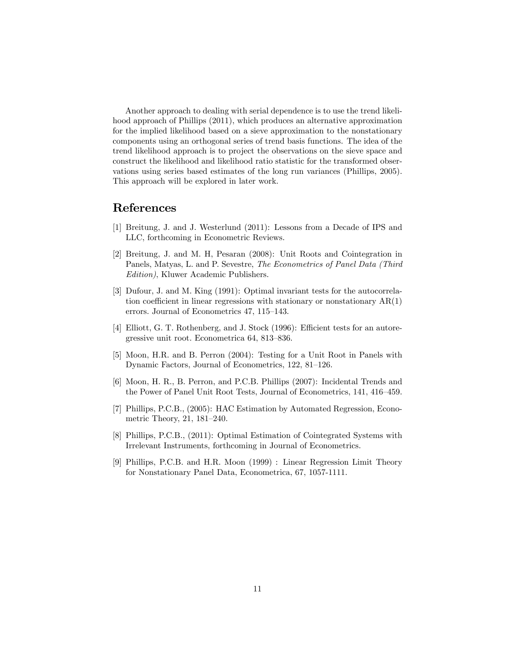Another approach to dealing with serial dependence is to use the trend likelihood approach of Phillips (2011), which produces an alternative approximation for the implied likelihood based on a sieve approximation to the nonstationary components using an orthogonal series of trend basis functions. The idea of the trend likelihood approach is to project the observations on the sieve space and construct the likelihood and likelihood ratio statistic for the transformed observations using series based estimates of the long run variances (Phillips, 2005). This approach will be explored in later work.

## References

- [1] Breitung, J. and J. Westerlund (2011): Lessons from a Decade of IPS and LLC, forthcoming in Econometric Reviews.
- [2] Breitung, J. and M. H, Pesaran (2008): Unit Roots and Cointegration in Panels, Matyas, L. and P. Sevestre, The Econometrics of Panel Data (Third Edition), Kluwer Academic Publishers.
- [3] Dufour, J. and M. King (1991): Optimal invariant tests for the autocorrelation coefficient in linear regressions with stationary or nonstationary  $AR(1)$ errors. Journal of Econometrics 47, 115–143.
- [4] Elliott, G. T. Rothenberg, and J. Stock (1996): Efficient tests for an autoregressive unit root. Econometrica 64, 813–836.
- [5] Moon, H.R. and B. Perron (2004): Testing for a Unit Root in Panels with Dynamic Factors, Journal of Econometrics, 122, 81–126.
- [6] Moon, H. R., B. Perron, and P.C.B. Phillips (2007): Incidental Trends and the Power of Panel Unit Root Tests, Journal of Econometrics, 141, 416–459.
- [7] Phillips, P.C.B., (2005): HAC Estimation by Automated Regression, Econometric Theory,  $21, 181-240$ .
- [8] Phillips, P.C.B., (2011): Optimal Estimation of Cointegrated Systems with Irrelevant Instruments, forthcoming in Journal of Econometrics.
- [9] Phillips, P.C.B. and H.R. Moon (1999) : Linear Regression Limit Theory for Nonstationary Panel Data, Econometrica, 67, 1057-1111.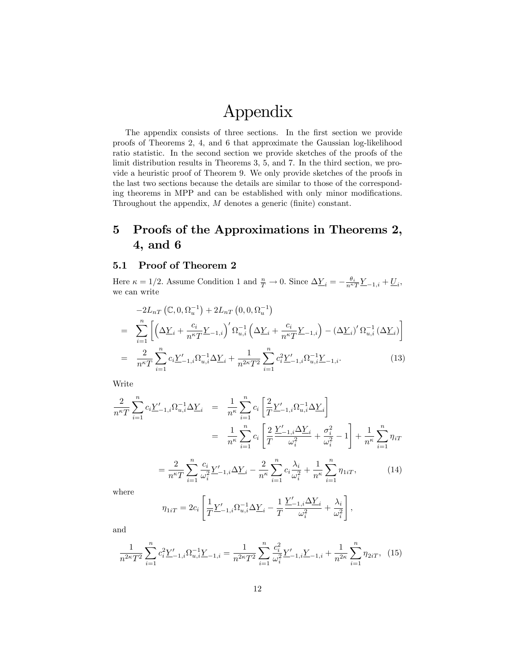# Appendix

The appendix consists of three sections. In the first section we provide proofs of Theorems 2, 4, and 6 that approximate the Gaussian log-likelihood ratio statistic. In the second section we provide sketches of the proofs of the limit distribution results in Theorems 3, 5, and 7. In the third section, we provide a heuristic proof of Theorem 9. We only provide sketches of the proofs in the last two sections because the details are similar to those of the corresponding theorems in MPP and can be established with only minor modifications. Throughout the appendix,  $M$  denotes a generic (finite) constant.

# 5 Proofs of the Approximations in Theorems 2, 4, and 6

## 5.1 Proof of Theorem 2

Here  $\kappa = 1/2$ . Assume Condition 1 and  $\frac{n}{T} \to 0$ . Since  $\Delta \underline{Y}_i = -\frac{\theta_i}{n^{\kappa}T}\underline{Y}_{-1,i} + \underline{U}_i$ , we can write

$$
-2L_{nT} (\mathbb{C}, 0, \Omega_{u}^{-1}) + 2L_{nT} (0, 0, \Omega_{u}^{-1})
$$
  
= 
$$
\sum_{i=1}^{n} \left[ \left( \Delta \underline{Y}_{i} + \frac{c_{i}}{n^{\kappa} T} \underline{Y}_{-1,i} \right)' \Omega_{u,i}^{-1} \left( \Delta \underline{Y}_{i} + \frac{c_{i}}{n^{\kappa} T} \underline{Y}_{-1,i} \right) - \left( \Delta \underline{Y}_{i} \right)' \Omega_{u,i}^{-1} \left( \Delta \underline{Y}_{i} \right) \right]
$$
  
= 
$$
\frac{2}{n^{\kappa} T} \sum_{i=1}^{n} c_{i} \underline{Y}'_{-1,i} \Omega_{u,i}^{-1} \Delta \underline{Y}_{i} + \frac{1}{n^{2\kappa} T^{2}} \sum_{i=1}^{n} c_{i}^{2} \underline{Y}'_{-1,i} \Omega_{u,i}^{-1} \underline{Y}_{-1,i}.
$$
 (13)

Write

$$
\frac{2}{n^{\kappa}T} \sum_{i=1}^{n} c_{i} \underline{Y}'_{-1,i} \Omega_{u,i}^{-1} \Delta \underline{Y}_{i} = \frac{1}{n^{\kappa}} \sum_{i=1}^{n} c_{i} \left[ \frac{2}{T} \underline{Y}'_{-1,i} \Omega_{u,i}^{-1} \Delta \underline{Y}_{i} \right]
$$

$$
= \frac{1}{n^{\kappa}} \sum_{i=1}^{n} c_{i} \left[ \frac{2}{T} \frac{\underline{Y}'_{-1,i} \Delta \underline{Y}_{i}}{\omega_{i}^{2}} + \frac{\sigma_{i}^{2}}{\omega_{i}^{2}} - 1 \right] + \frac{1}{n^{\kappa}} \sum_{i=1}^{n} \eta_{iT}
$$

$$
= \frac{2}{n^{\kappa}T} \sum_{i=1}^{n} \frac{c_{i}}{\omega_{i}^{2}} \underline{Y}'_{-1,i} \Delta \underline{Y}_{i} - \frac{2}{n^{\kappa}} \sum_{i=1}^{n} c_{i} \frac{\lambda_{i}}{\omega_{i}^{2}} + \frac{1}{n^{\kappa}} \sum_{i=1}^{n} \eta_{1iT}, \qquad (14)
$$

where

$$
\eta_{1iT} = 2c_i \left[ \frac{1}{T} \underline{Y}'_{-1,i} \Omega_{u,i}^{-1} \Delta \underline{Y}_i - \frac{1}{T} \frac{\underline{Y}'_{-1,i} \Delta \underline{Y}_i}{\omega_i^2} + \frac{\lambda_i}{\omega_i^2} \right],
$$

and

$$
\frac{1}{n^{2\kappa}T^2} \sum_{i=1}^n c_i^2 \underline{Y}'_{-1,i} \Omega_{u,i}^{-1} \underline{Y}_{-1,i} = \frac{1}{n^{2\kappa}T^2} \sum_{i=1}^n \frac{c_i^2}{\omega_i^2} \underline{Y}'_{-1,i} \underline{Y}_{-1,i} + \frac{1}{n^{2\kappa}} \sum_{i=1}^n \eta_{2iT}, \tag{15}
$$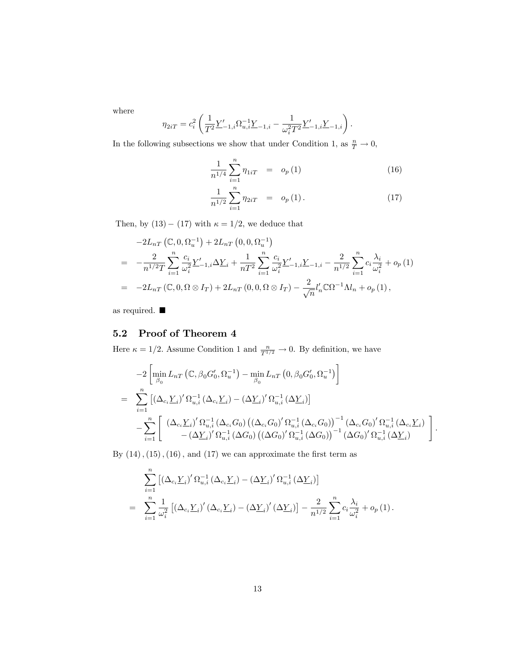where

$$
\eta_{2iT} = c_i^2 \left( \frac{1}{T^2} \underline{Y}'_{-1,i} \Omega_{u,i}^{-1} \underline{Y}_{-1,i} - \frac{1}{\omega_i^2 T^2} \underline{Y}'_{-1,i} \underline{Y}_{-1,i} \right).
$$

In the following subsections we show that under Condition 1, as  $\frac{n}{T} \to 0$ ,

$$
\frac{1}{n^{1/4}} \sum_{i=1}^{n} \eta_{1iT} = o_p(1) \tag{16}
$$

$$
\frac{1}{n^{1/2}} \sum_{i=1}^{n} \eta_{2iT} = o_p(1).
$$
 (17)

Then, by  $(13) - (17)$  with  $\kappa = 1/2$ , we deduce that

$$
-2L_{nT} (\mathbb{C}, 0, \Omega_u^{-1}) + 2L_{nT} (0, 0, \Omega_u^{-1})
$$
  
= 
$$
-\frac{2}{n^{1/2}T} \sum_{i=1}^n \frac{c_i}{\omega_i^2} \frac{Y'}{2} - 1, i \Delta \underline{Y}_i + \frac{1}{nT^2} \sum_{i=1}^n \frac{c_i}{\omega_i^2} \frac{Y'}{2} - 1, i \Delta \underline{Y}_{-1} - \frac{2}{n^{1/2}} \sum_{i=1}^n c_i \frac{\lambda_i}{\omega_i^2} + o_p (1)
$$
  
= 
$$
-2L_{nT} (\mathbb{C}, 0, \Omega \otimes I_T) + 2L_{nT} (0, 0, \Omega \otimes I_T) - \frac{2}{\sqrt{n}} l'_n \mathbb{C} \Omega^{-1} \Lambda l_n + o_p (1),
$$

as required.

## 5.2 Proof of Theorem 4

Here  $\kappa = 1/2$ . Assume Condition 1 and  $\frac{n}{T^{1/2}} \to 0$ . By definition, we have

$$
-2\left[\min_{\beta_{0}} L_{nT} \left( \mathbb{C}, \beta_{0} G'_{0}, \Omega_{u}^{-1} \right) - \min_{\beta_{0}} L_{nT} \left( 0, \beta_{0} G'_{0}, \Omega_{u}^{-1} \right) \right]
$$
  
\n
$$
= \sum_{i=1}^{n} \left[ \left( \Delta_{c_{i}} \underline{Y}_{i} \right)' \Omega_{u,i}^{-1} \left( \Delta_{c_{i}} \underline{Y}_{i} \right) - \left( \Delta \underline{Y}_{i} \right)' \Omega_{u,i}^{-1} \left( \Delta \underline{Y}_{i} \right) \right]
$$
  
\n
$$
- \sum_{i=1}^{n} \left[ \left( \Delta_{c_{i}} \underline{Y}_{i} \right)' \Omega_{u,i}^{-1} \left( \Delta_{c_{i}} G_{0} \right) \left( \left( \Delta_{c_{i}} G_{0} \right)' \Omega_{u,i}^{-1} \left( \Delta_{c_{i}} G_{0} \right) \right)^{-1} \left( \Delta_{c_{i}} G_{0} \right)' \Omega_{u,i}^{-1} \left( \Delta_{c_{i}} \underline{Y}_{i} \right) \right]
$$
  
\n
$$
- \sum_{i=1}^{n} \left[ \left( \Delta_{c_{i}} \underline{Y}_{i} \right)' \Omega_{u,i}^{-1} \left( \Delta G_{0} \right) \left( \left( \Delta G_{0} \right)' \Omega_{u,i}^{-1} \left( \Delta G_{0} \right) \right)^{-1} \left( \Delta G_{0} \right)' \Omega_{u,i}^{-1} \left( \Delta \underline{Y}_{i} \right) \right]
$$

:

By  $\left( 14\right) ,\left( 15\right) ,\left( 16\right) ,$  and  $\left( 17\right)$  we can approximate the first term as

$$
\sum_{i=1}^{n} \left[ \left( \Delta_{c_i} \underline{Y}_i \right)' \Omega_{u,i}^{-1} \left( \Delta_{c_i} \underline{Y}_i \right) - \left( \Delta \underline{Y}_i \right)' \Omega_{u,i}^{-1} \left( \Delta \underline{Y}_i \right) \right]
$$
\n
$$
= \sum_{i=1}^{n} \frac{1}{\omega_i^2} \left[ \left( \Delta_{c_i} \underline{Y}_i \right)' \left( \Delta_{c_i} \underline{Y}_i \right) - \left( \Delta \underline{Y}_i \right)' \left( \Delta \underline{Y}_i \right) \right] - \frac{2}{n^{1/2}} \sum_{i=1}^{n} c_i \frac{\lambda_i}{\omega_i^2} + o_p \left( 1 \right).
$$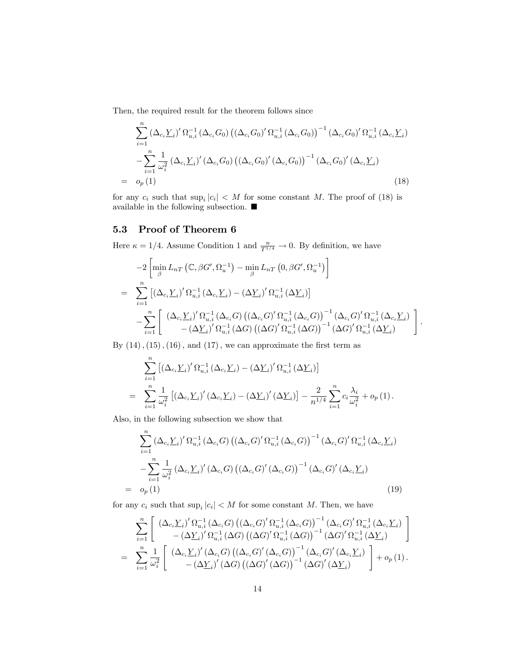Then, the required result for the theorem follows since

$$
\sum_{i=1}^{n} (\Delta_{c_{i}} \underline{Y}_{i})' \Omega_{u,i}^{-1} (\Delta_{c_{i}} G_{0}) ((\Delta_{c_{i}} G_{0})' \Omega_{u,i}^{-1} (\Delta_{c_{i}} G_{0}))^{-1} (\Delta_{c_{i}} G_{0})' \Omega_{u,i}^{-1} (\Delta_{c_{i}} \underline{Y}_{i})
$$
  

$$
- \sum_{i=1}^{n} \frac{1}{\omega_{i}^{2}} (\Delta_{c_{i}} \underline{Y}_{i})' (\Delta_{c_{i}} G_{0}) ((\Delta_{c_{i}} G_{0})' (\Delta_{c_{i}} G_{0}))^{-1} (\Delta_{c_{i}} G_{0})' (\Delta_{c_{i}} \underline{Y}_{i})
$$
  

$$
= o_{p}(1)
$$
 (18)

for any  $c_i$  such that  $\sup_i |c_i| < M$  for some constant M. The proof of (18) is available in the following subsection.  $\blacksquare$ 

## 5.3 Proof of Theorem 6

Here  $\kappa = 1/4$ . Assume Condition 1 and  $\frac{n}{T^{1/4}} \to 0$ . By definition, we have

$$
-2\left[\min_{\beta} L_{nT}\left(\mathbb{C}, \beta G', \Omega_{u}^{-1}\right) - \min_{\beta} L_{nT}\left(0, \beta G', \Omega_{u}^{-1}\right)\right]
$$
  

$$
= \sum_{i=1}^{n} \left[\left(\Delta_{c_{i}} \underline{Y}_{i}\right)' \Omega_{u,i}^{-1}\left(\Delta_{c_{i}} \underline{Y}_{i}\right) - \left(\Delta \underline{Y}_{i}\right)' \Omega_{u,i}^{-1}\left(\Delta \underline{Y}_{i}\right)\right]
$$
  

$$
- \sum_{i=1}^{n} \left[\left(\Delta_{c_{i}} \underline{Y}_{i}\right)' \Omega_{u,i}^{-1}\left(\Delta_{c_{i}} G\right) \left(\left(\Delta_{c_{i}} G\right)' \Omega_{u,i}^{-1}\left(\Delta_{c_{i}} G\right)\right)^{-1}\left(\Delta_{c_{i}} G\right)' \Omega_{u,i}^{-1}\left(\Delta_{c_{i}} \underline{Y}_{i}\right) - \left(\Delta \underline{Y}_{i}\right)' \Omega_{u,i}^{-1}\left(\Delta G\right) \left(\left(\Delta G\right)' \Omega_{u,i}^{-1}\left(\Delta G\right)\right)^{-1}\left(\Delta G\right)' \Omega_{u,i}^{-1}\left(\Delta \underline{Y}_{i}\right)
$$

:

By  $(14)$ ,  $(15)$ ,  $(16)$ , and  $(17)$ , we can approximate the first term as

$$
\sum_{i=1}^{n} \left[ \left( \Delta_{c_i} \underline{Y}_i \right)' \Omega_{u,i}^{-1} \left( \Delta_{c_i} \underline{Y}_i \right) - \left( \Delta \underline{Y}_i \right)' \Omega_{u,i}^{-1} \left( \Delta \underline{Y}_i \right) \right]
$$
\n
$$
= \sum_{i=1}^{n} \frac{1}{\omega_i^2} \left[ \left( \Delta_{c_i} \underline{Y}_i \right)' \left( \Delta_{c_i} \underline{Y}_i \right) - \left( \Delta \underline{Y}_i \right)' \left( \Delta \underline{Y}_i \right) \right] - \frac{2}{n^{1/4}} \sum_{i=1}^{n} c_i \frac{\lambda_i}{\omega_i^2} + o_p \left( 1 \right).
$$

Also, in the following subsection we show that

$$
\sum_{i=1}^{n} (\Delta_{c_i} \underline{Y}_i)' \Omega_{u,i}^{-1} (\Delta_{c_i} G) ((\Delta_{c_i} G)' \Omega_{u,i}^{-1} (\Delta_{c_i} G))^{-1} (\Delta_{c_i} G)' \Omega_{u,i}^{-1} (\Delta_{c_i} \underline{Y}_i)
$$

$$
- \sum_{i=1}^{n} \frac{1}{\omega_i^2} (\Delta_{c_i} \underline{Y}_i)' (\Delta_{c_i} G) ((\Delta_{c_i} G)' (\Delta_{c_i} G))^{-1} (\Delta_{c_i} G)' (\Delta_{c_i} \underline{Y}_i)
$$

$$
= o_p(1)
$$
(19)

for any  $c_i$  such that  $\sup_i |c_i| < M$  for some constant M. Then, we have

$$
\sum_{i=1}^{n} \left[ \begin{array}{c} \left( \Delta_{c_i} \underline{Y}_i \right)' \Omega_{u,i}^{-1} \left( \Delta_{c_i} G \right) \left( \left( \Delta_{c_i} G \right)' \Omega_{u,i}^{-1} \left( \Delta_{c_i} G \right) \right)^{-1} \left( \Delta_{c_i} G \right)' \Omega_{u,i}^{-1} \left( \Delta_{c_i} \underline{Y}_i \right) \\ - \left( \Delta \underline{Y}_i \right)' \Omega_{u,i}^{-1} \left( \Delta G \right) \left( \left( \Delta G \right)' \Omega_{u,i}^{-1} \left( \Delta G \right) \right)^{-1} \left( \Delta G \right)' \Omega_{u,i}^{-1} \left( \Delta \underline{Y}_i \right) \end{array} \right] \\ = \sum_{i=1}^{n} \frac{1}{\omega_i^2} \left[ \begin{array}{c} \left( \Delta_{c_i} \underline{Y}_i \right)' \left( \Delta_{c_i} G \right) \left( \left( \Delta_{c_i} G \right)' \left( \Delta_{c_i} G \right) \right)^{-1} \left( \Delta_{c_i} G \right)' \left( \Delta_{c_i} \underline{Y}_i \right) \\ - \left( \Delta \underline{Y}_i \right)' \left( \Delta G \right) \left( \left( \Delta G \right)' \left( \Delta G \right) \right)^{-1} \left( \Delta G \right)' \left( \Delta \underline{Y}_i \right) \end{array} \right] + o_p \left( 1 \right).
$$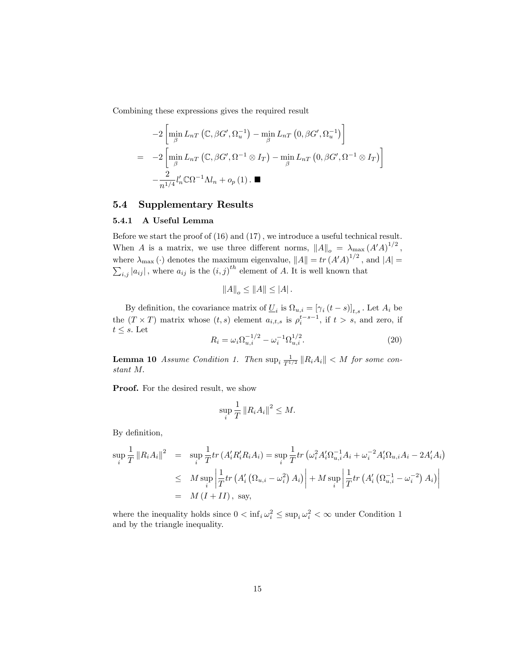Combining these expressions gives the required result

$$
-2\left[\min_{\beta} L_{nT}\left(\mathbb{C}, \beta G', \Omega_u^{-1}\right) - \min_{\beta} L_{nT}\left(0, \beta G', \Omega_u^{-1}\right)\right]
$$
  
=\ -2\left[\min\_{\beta} L\_{nT}\left(\mathbb{C}, \beta G', \Omega^{-1} \otimes I\_T\right) - \min\_{\beta} L\_{nT}\left(0, \beta G', \Omega^{-1} \otimes I\_T\right)\right]  
- \frac{2}{n^{1/4}}l'\_n\mathbb{C}\Omega^{-1}\Lambda l\_n + o\_p(1).

## 5.4 Supplementary Results

## 5.4.1 A Useful Lemma

 $\overline{a}$ 

Before we start the proof of  $(16)$  and  $(17)$ , we introduce a useful technical result. When A is a matrix, we use three different norms,  $||A||_o = \lambda_{\max} (A'A)^{1/2}$ , where  $\lambda_{\text{max}}(\cdot)$  denotes the maximum eigenvalue,  $||A|| = tr (A'A)^{1/2}$ , and  $|A| = \sum_{i,j} |a_{ij}|$ , where  $a_{ij}$  is the  $(i, j)^{th}$  element of A. It is well known that

$$
||A||_o \le ||A|| \le |A|.
$$

By definition, the covariance matrix of  $\underline{U}_i$  is  $\Omega_{u,i} = [\gamma_i (t - s)]_{t,s}$ . Let  $A_i$  be the  $(T \times T)$  matrix whose  $(t, s)$  element  $a_{i,t,s}$  is  $\rho_i^{t-s-1}$ , if  $t > s$ , and zero, if  $t \leq s$ . Let

$$
R_i = \omega_i \Omega_{u,i}^{-1/2} - \omega_i^{-1} \Omega_{u,i}^{1/2}.
$$
\n(20)

**Lemma 10** Assume Condition 1. Then  $\sup_i \frac{1}{T^{1/2}} ||R_iA_i|| < M$  for some constant M:

Proof. For the desired result, we show

$$
\sup_{i} \frac{1}{T} ||R_i A_i||^2 \le M.
$$

By definition,

$$
\sup_{i} \frac{1}{T} ||R_{i}A_{i}||^{2} = \sup_{i} \frac{1}{T} tr (A'_{i}R'_{i}R_{i}A_{i}) = \sup_{i} \frac{1}{T} tr (\omega_{i}^{2} A'_{i} \Omega_{u,i}^{-1} A_{i} + \omega_{i}^{-2} A'_{i} \Omega_{u,i} A_{i} - 2A'_{i} A_{i})
$$
  
\n
$$
\leq M \sup_{i} \left| \frac{1}{T} tr (A'_{i} (\Omega_{u,i} - \omega_{i}^{2}) A_{i}) \right| + M \sup_{i} \left| \frac{1}{T} tr (A'_{i} (\Omega_{u,i}^{-1} - \omega_{i}^{-2}) A_{i}) \right|
$$
  
\n
$$
= M (I + II), \text{ say,}
$$

where the inequality holds since  $0 < \inf_i \omega_i^2 \le \sup_i \omega_i^2 < \infty$  under Condition 1 and by the triangle inequality.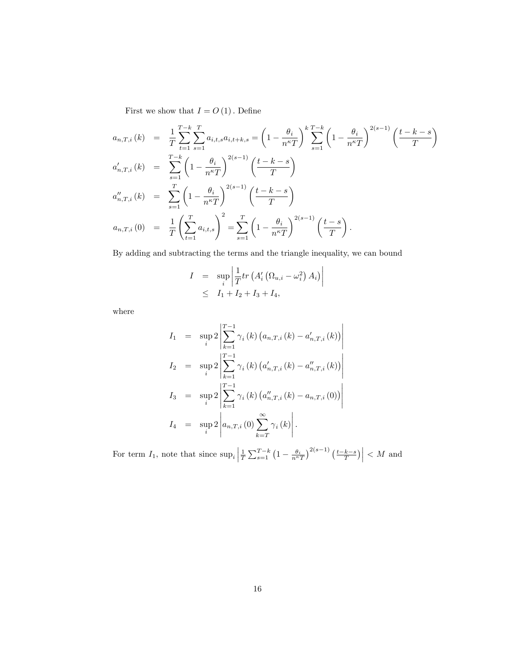First we show that  $I = O\left(1\right)$  . Define

$$
a_{n,T,i}(k) = \frac{1}{T} \sum_{t=1}^{T-k} \sum_{s=1}^{T} a_{i,t,s} a_{i,t+k,s} = \left(1 - \frac{\theta_i}{n^{\kappa} T}\right)^k \sum_{s=1}^{T-k} \left(1 - \frac{\theta_i}{n^{\kappa} T}\right)^{2(s-1)} \left(\frac{t - k - s}{T}\right)
$$
  
\n
$$
a'_{n,T,i}(k) = \sum_{s=1}^{T-k} \left(1 - \frac{\theta_i}{n^{\kappa} T}\right)^{2(s-1)} \left(\frac{t - k - s}{T}\right)
$$
  
\n
$$
a''_{n,T,i}(k) = \sum_{s=1}^{T} \left(1 - \frac{\theta_i}{n^{\kappa} T}\right)^{2(s-1)} \left(\frac{t - k - s}{T}\right)
$$
  
\n
$$
a_{n,T,i}(0) = \frac{1}{T} \left(\sum_{t=1}^{T} a_{i,t,s}\right)^2 = \sum_{s=1}^{T} \left(1 - \frac{\theta_i}{n^{\kappa} T}\right)^{2(s-1)} \left(\frac{t - s}{T}\right).
$$

By adding and subtracting the terms and the triangle inequality, we can bound

$$
I = \sup_{i} \left| \frac{1}{T} tr \left( A_i' \left( \Omega_{u,i} - \omega_i^2 \right) A_i \right) \right|
$$
  
 
$$
\leq I_1 + I_2 + I_3 + I_4,
$$

where

$$
I_{1} = \sup_{i} 2 \left| \sum_{k=1}^{T-1} \gamma_{i}(k) (a_{n,T,i}(k) - a'_{n,T,i}(k)) \right|
$$
  
\n
$$
I_{2} = \sup_{i} 2 \left| \sum_{k=1}^{T-1} \gamma_{i}(k) (a'_{n,T,i}(k) - a''_{n,T,i}(k)) \right|
$$
  
\n
$$
I_{3} = \sup_{i} 2 \left| \sum_{k=1}^{T-1} \gamma_{i}(k) (a''_{n,T,i}(k) - a_{n,T,i}(0)) \right|
$$
  
\n
$$
I_{4} = \sup_{i} 2 \left| a_{n,T,i}(0) \sum_{k=T}^{\infty} \gamma_{i}(k) \right|.
$$

For term  $I_1$ , note that since  $\sup_i \left| \frac{1}{T} \sum_{s=1}^{T-k} \left(1 - \frac{\theta_i}{n^{\kappa}T}\right)^{2(s-1)} \left(\frac{t-k-s}{T}\right) \right| < M$  and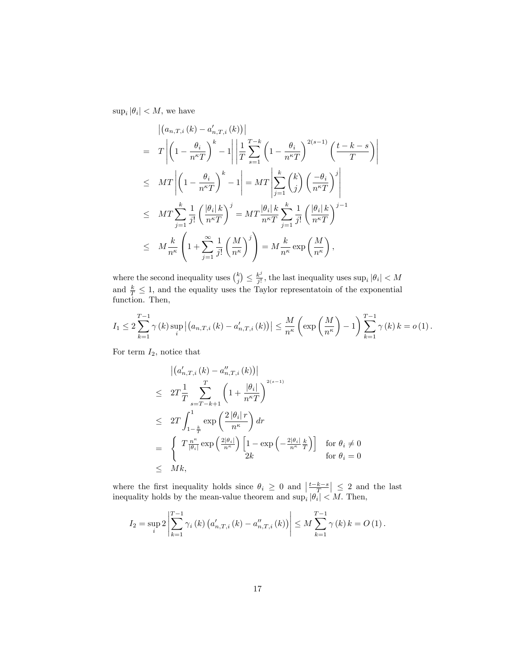$\sup_i |\theta_i| < M$ , we have

$$
\begin{split}\n& \left| \left( a_{n,T,i} \left( k \right) - a'_{n,T,i} \left( k \right) \right) \right| \\
&= T \left| \left( 1 - \frac{\theta_i}{n^{\kappa} T} \right)^k - 1 \right| \left| \frac{1}{T} \sum_{s=1}^{T-k} \left( 1 - \frac{\theta_i}{n^{\kappa} T} \right)^{2(s-1)} \left( \frac{t-k-s}{T} \right) \right| \\
&\leq MT \left| \left( 1 - \frac{\theta_i}{n^{\kappa} T} \right)^k - 1 \right| = MT \left| \sum_{j=1}^k {k \choose j} \left( \frac{-\theta_i}{n^{\kappa} T} \right)^j \right| \\
&\leq MT \sum_{j=1}^k \frac{1}{j!} \left( \frac{|\theta_i| k}{n^{\kappa} T} \right)^j = MT \frac{|\theta_i| k}{n^{\kappa} T} \sum_{j=1}^k \frac{1}{j!} \left( \frac{|\theta_i| k}{n^{\kappa} T} \right)^{j-1} \\
&\leq M \frac{k}{n^{\kappa}} \left( 1 + \sum_{j=1}^\infty \frac{1}{j!} \left( \frac{M}{n^{\kappa}} \right)^j \right) = M \frac{k}{n^{\kappa}} \exp\left( \frac{M}{n^{\kappa}} \right),\n\end{split}
$$

I I I  $\overline{\phantom{a}}$ 

where the second inequality uses  $\binom{k}{j} \leq \frac{k^j}{j!}$  $\frac{k^j}{j!}$ , the last inequality uses  $\sup_i |\theta_i| < M$ and  $\frac{k}{T} \leq 1$ , and the equality uses the Taylor representatoin of the exponential function. Then,

$$
I_1 \leq 2 \sum_{k=1}^{T-1} \gamma(k) \sup_i |(a_{n,T,i}(k) - a'_{n,T,i}(k))| \leq \frac{M}{n^{\kappa}} \left( \exp\left(\frac{M}{n^{\kappa}}\right) - 1 \right) \sum_{k=1}^{T-1} \gamma(k) k = o(1).
$$

For term  $I_2$ , notice that

$$
\begin{aligned}\n\left| \left( a'_{n,T,i} \left( k \right) - a''_{n,T,i} \left( k \right) \right) \right| \\
&\leq 2T \frac{1}{T} \sum_{s=T-k+1}^{T} \left( 1 + \frac{\left| \theta_i \right|}{n^{\kappa} T} \right)^{2(s-1)} \\
&\leq 2T \int_{1-\frac{k}{T}}^{1} \exp\left( \frac{2\left| \theta_i \right| r}{n^{\kappa}} \right) dr \\
&= \left\{ \begin{array}{c} T \frac{n^{\kappa}}{\left| \theta_i \right|} \exp\left( \frac{2\left| \theta_i \right|}{n^{\kappa}} \right) \left[ 1 - \exp\left( -\frac{2\left| \theta_i \right|}{n^{\kappa}} \frac{k}{T} \right) \right] & \text{for } \theta_i \neq 0 \\
2k & \text{for } \theta_i = 0\n\end{array}\n\end{aligned}
$$

where the first inequality holds since  $\theta_i \geq 0$  and  $\left|\frac{t-k-s}{T}\right| \leq 2$  and the last inequality holds by the mean-value theorem and  $\sup_i |\theta_i| < M$ . Then,

$$
I_2 = \sup_{i} 2 \left| \sum_{k=1}^{T-1} \gamma_i(k) \left( a'_{n,T,i}(k) - a''_{n,T,i}(k) \right) \right| \leq M \sum_{k=1}^{T-1} \gamma(k) k = O(1).
$$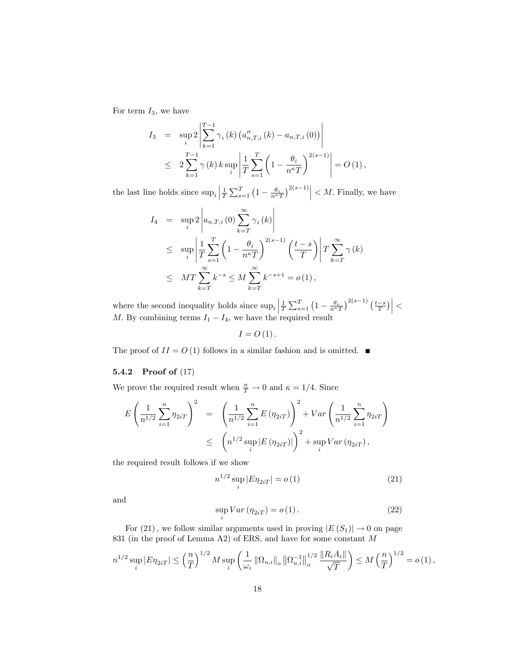For term  $I_3$ , we have

$$
I_3 = \sup_{i} 2 \left| \sum_{k=1}^{T-1} \gamma_i(k) \left( a''_{n,T,i}(k) - a_{n,T,i}(0) \right) \right|
$$
  
 
$$
\leq 2 \sum_{k=1}^{T-1} \gamma(k) k \sup_{i} \left| \frac{1}{T} \sum_{s=1}^{T} \left( 1 - \frac{\theta_i}{n^{\kappa} T} \right)^{2(s-1)} \right| = O(1),
$$

the last line holds since  $\sup_i \left| \frac{1}{T} \sum_{s=1}^T \left(1 - \frac{\theta_i}{n^{\kappa}T}\right)^{2(s-1)} \right| < M$ . Finally, we have

$$
I_4 = \sup_{i} 2 \left| a_{n,T,i}(0) \sum_{k=T}^{\infty} \gamma_i(k) \right|
$$
  
\n
$$
\leq \sup_{i} \left| \frac{1}{T} \sum_{s=1}^{T} \left( 1 - \frac{\theta_i}{n^{\kappa} T} \right)^{2(s-1)} \left( \frac{t-s}{T} \right) \right| T \sum_{k=T}^{\infty} \gamma(k)
$$
  
\n
$$
\leq MT \sum_{k=T}^{\infty} k^{-s} \leq M \sum_{k=T}^{\infty} k^{-s+1} = o(1),
$$

where the second inequality holds since  $\sup_i \left| \frac{1}{T} \sum_{s=1}^T \left(1 - \frac{\theta_i}{n^{\kappa}T}\right)^{2(s-1)} \left(\frac{t-s}{T}\right) \right|$ M. By combining terms  $I_1 - I_4$ , we have the required result

$$
I=O(1).
$$

The proof of  $II = O(1)$  follows in a similar fashion and is omitted.  $\blacksquare$ 

#### 5.4.2 Proof of (17)

We prove the required result when  $\frac{n}{T} \to 0$  and  $\kappa = 1/4$ . Since

$$
E\left(\frac{1}{n^{1/2}}\sum_{i=1}^{n}\eta_{2iT}\right)^2 = \left(\frac{1}{n^{1/2}}\sum_{i=1}^{n}E(\eta_{2iT})\right)^2 + Var\left(\frac{1}{n^{1/2}}\sum_{i=1}^{n}\eta_{2iT}\right)
$$
  

$$
\leq \left(n^{1/2}\sup_{i}|E(\eta_{2iT})|\right)^2 + \sup_{i}Var(\eta_{2iT}),
$$

the required result follows if we show

$$
n^{1/2} \sup_{i} |E\eta_{2iT}| = o(1)
$$
 (21)

and

$$
\sup_{i} Var\left(\eta_{2iT}\right) = o\left(1\right). \tag{22}
$$

For (21), we follow similar arguments used in proving  $|E(S_1)| \to 0$  on page 831 (in the proof of Lemma A2) of ERS, and have for some constant M

$$
n^{1/2} \sup_{i} |E\eta_{2iT}| \leq \left(\frac{n}{T}\right)^{1/2} M \sup_{i} \left(\frac{1}{\omega_i} \|\Omega_{u,i}\|_o \|\Omega_{u,i}^{-1}\|_o^{1/2} \frac{\|R_i A_i\|}{\sqrt{T}}\right) \leq M \left(\frac{n}{T}\right)^{1/2} = o(1),
$$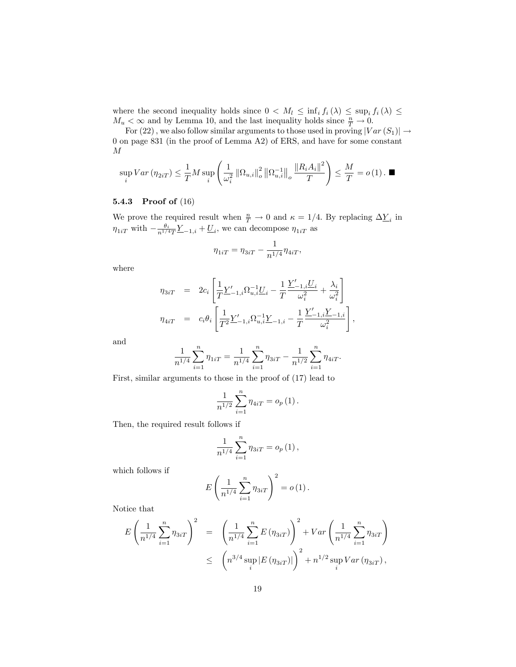where the second inequality holds since  $0 < M_l \leq \inf_i f_i(\lambda) \leq \sup_i f_i(\lambda) \leq$  $M_u < \infty$  and by Lemma 10, and the last inequality holds since  $\frac{n}{T} \to 0$ .

For (22), we also follow similar arguments to those used in proving  $|Var(S_1)| \rightarrow$ 0 on page 831 (in the proof of Lemma A2) of ERS, and have for some constant M

$$
\sup_{i}Var\left(\eta_{2iT}\right) \leq \frac{1}{T}M\sup_{i}\left(\frac{1}{\omega_i^2}\left\|\Omega_{u,i}\right\|_o^2\left\|\Omega_{u,i}^{-1}\right\|_o\frac{\left\|R_iA_i\right\|^2}{T}\right) \leq \frac{M}{T} = o\left(1\right). \blacksquare
$$

#### 5.4.3 Proof of (16)

We prove the required result when  $\frac{n}{T} \to 0$  and  $\kappa = 1/4$ . By replacing  $\Delta \underline{Y}_i$  in  $\eta_{1iT}$  with  $-\frac{\theta_i}{n^{1/4}T}\underline{Y}_{-1,i} + \underline{U}_i$ , we can decompose  $\eta_{1iT}$  as

$$
\eta_{1iT} = \eta_{3iT} - \frac{1}{n^{1/4}} \eta_{4iT},
$$

where

$$
\eta_{3iT} = 2c_i \left[ \frac{1}{T} \underline{Y}'_{-1,i} \Omega_{u,i}^{-1} \underline{U}_i - \frac{1}{T} \frac{\underline{Y}'_{-1,i} \underline{U}_i}{\omega_i^2} + \frac{\lambda_i}{\omega_i^2} \right]
$$
  

$$
\eta_{4iT} = c_i \theta_i \left[ \frac{1}{T^2} \underline{Y}'_{-1,i} \Omega_{u,i}^{-1} \underline{Y}_{-1,i} - \frac{1}{T} \frac{\underline{Y}'_{-1,i} \underline{Y}_{-1,i}}{\omega_i^2} \right]
$$

;

and

$$
\frac{1}{n^{1/4}}\sum_{i=1}^{n}\eta_{1iT} = \frac{1}{n^{1/4}}\sum_{i=1}^{n}\eta_{3iT} - \frac{1}{n^{1/2}}\sum_{i=1}^{n}\eta_{4iT}.
$$

First, similar arguments to those in the proof of (17) lead to

$$
\frac{1}{n^{1/2}}\sum_{i=1}^{n}\eta_{4iT} = o_p(1).
$$

Then, the required result follows if

$$
\frac{1}{n^{1/4}}\sum_{i=1}^{n}\eta_{3iT} = o_p(1),
$$

which follows if

$$
E\left(\frac{1}{n^{1/4}}\sum_{i=1}^{n}\eta_{3iT}\right)^{2}=o(1).
$$

Notice that

$$
E\left(\frac{1}{n^{1/4}}\sum_{i=1}^{n}\eta_{3iT}\right)^2 = \left(\frac{1}{n^{1/4}}\sum_{i=1}^{n}E\left(\eta_{3iT}\right)\right)^2 + Var\left(\frac{1}{n^{1/4}}\sum_{i=1}^{n}\eta_{3iT}\right)
$$
  

$$
\leq \left(n^{3/4}\sup_{i}|E\left(\eta_{3iT}\right)|\right)^2 + n^{1/2}\sup_{i}Var\left(\eta_{3iT}\right),
$$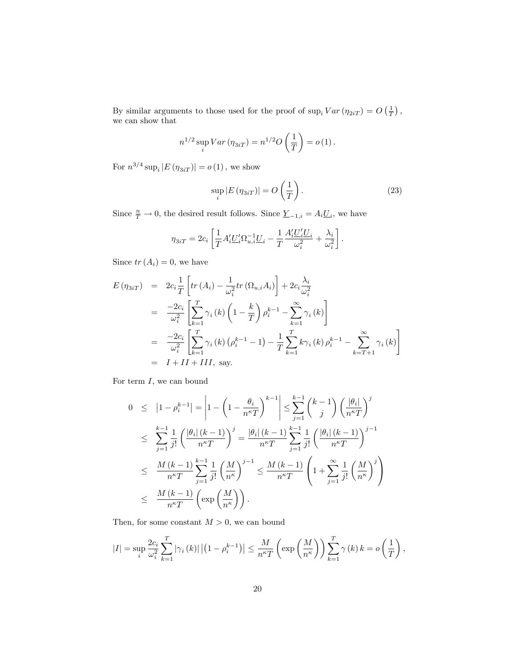By similar arguments to those used for the proof of  $\sup_i Var(\eta_{2iT}) = O(\frac{1}{T}),$ we can show that

$$
n^{1/2} \sup_{i} Var(\eta_{3iT}) = n^{1/2} O\left(\frac{1}{T}\right) = o(1).
$$

For  $n^{3/4} \sup_i |E(\eta_{3iT})| = o(1)$ , we show

$$
\sup_{i} |E(\eta_{3iT})| = O\left(\frac{1}{T}\right). \tag{23}
$$

Since  $\frac{n}{T} \to 0$ , the desired result follows. Since  $\underline{Y}_{-1,i} = A_i \underline{U}_i$ , we have

$$
\eta_{3iT} = 2c_i \left[ \frac{1}{T} A_i' \underline{U}_i' \Omega_{u,i}^{-1} \underline{U}_i - \frac{1}{T} \frac{A_i' \underline{U}_i' \underline{U}_i}{\omega_i^2} + \frac{\lambda_i}{\omega_i^2} \right].
$$

Since  $tr(A_i) = 0$ , we have

$$
E(\eta_{3iT}) = 2c_i \frac{1}{T} \left[ tr (A_i) - \frac{1}{\omega_i^2} tr (\Omega_{u,i} A_i) \right] + 2c_i \frac{\lambda_i}{\omega_i^2}
$$
  
\n
$$
= \frac{-2c_i}{\omega_i^2} \left[ \sum_{k=1}^T \gamma_i(k) \left( 1 - \frac{k}{T} \right) \rho_i^{k-1} - \sum_{k=1}^\infty \gamma_i(k) \right]
$$
  
\n
$$
= \frac{-2c_i}{\omega_i^2} \left[ \sum_{k=1}^T \gamma_i(k) (\rho_i^{k-1} - 1) - \frac{1}{T} \sum_{k=1}^T k \gamma_i(k) \rho_i^{k-1} - \sum_{k=T+1}^\infty \gamma_i(k) \right]
$$
  
\n
$$
= I + II + III, \text{ say.}
$$

For term  $I$ , we can bound

$$
0 \leq |1 - \rho_i^{k-1}| = \left| 1 - \left( 1 - \frac{\theta_i}{n^{\kappa} T} \right)^{k-1} \right| \leq \sum_{j=1}^{k-1} {k-1 \choose j} \left( \frac{|\theta_i|}{n^{\kappa} T} \right)^j
$$
  
\n
$$
\leq \sum_{j=1}^{k-1} \frac{1}{j!} \left( \frac{|\theta_i| (k-1)}{n^{\kappa} T} \right)^j = \frac{|\theta_i| (k-1)}{n^{\kappa} T} \sum_{j=1}^{k-1} \frac{1}{j!} \left( \frac{|\theta_i| (k-1)}{n^{\kappa} T} \right)^{j-1}
$$
  
\n
$$
\leq \frac{M (k-1)}{n^{\kappa} T} \sum_{j=1}^{k-1} \frac{1}{j!} \left( \frac{M}{n^{\kappa}} \right)^{j-1} \leq \frac{M (k-1)}{n^{\kappa} T} \left( 1 + \sum_{j=1}^{\infty} \frac{1}{j!} \left( \frac{M}{n^{\kappa}} \right)^j \right)
$$
  
\n
$$
\leq \frac{M (k-1)}{n^{\kappa} T} \left( \exp \left( \frac{M}{n^{\kappa}} \right) \right).
$$

Then, for some constant  $M > 0$ , we can bound

$$
|I| = \sup_{i} \frac{2c_i}{\omega_i^2} \sum_{k=1}^T |\gamma_i(k)| \left| \left(1 - \rho_i^{k-1}\right) \right| \le \frac{M}{n^{\kappa}T} \left(\exp\left(\frac{M}{n^{\kappa}}\right)\right) \sum_{k=1}^T \gamma(k) \, k = o\left(\frac{1}{T}\right),
$$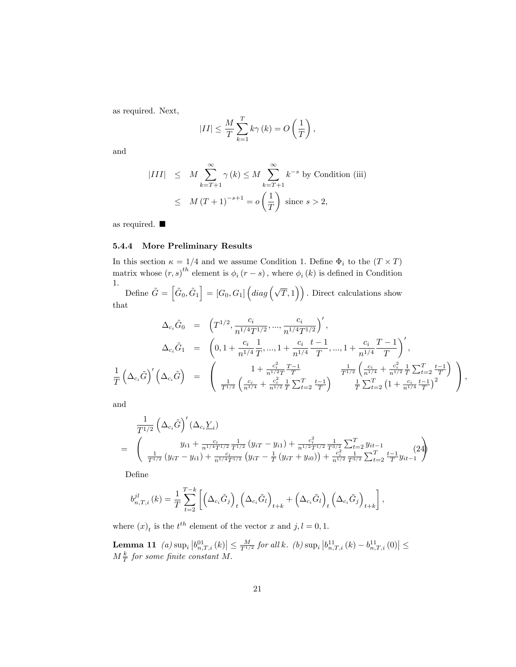as required. Next,

$$
|II| \le \frac{M}{T} \sum_{k=1}^{T} k\gamma(k) = O\left(\frac{1}{T}\right),\,
$$

and

$$
|III| \leq M \sum_{k=T+1}^{\infty} \gamma(k) \leq M \sum_{k=T+1}^{\infty} k^{-s} \text{ by Condition (iii)}
$$
  

$$
\leq M (T+1)^{-s+1} = o\left(\frac{1}{T}\right) \text{ since } s > 2,
$$

as required.

## 5.4.4 More Preliminary Results

In this section  $\kappa = 1/4$  and we assume Condition 1. Define  $\Phi_i$  to the  $(T \times T)$ matrix whose  $(r, s)$ <sup>th</sup> element is  $\phi_i(r - s)$ , where  $\phi_i(k)$  is defined in Condition 1.

Define  $\tilde{G} = \left[\tilde{G}_0, \tilde{G}_1\right] = [G_0, G_1] \left(diag\left(\sqrt{T}, 1\right)\right)$ . Direct calculations show that

$$
\Delta_{c_i}\tilde{G}_0 = \left(T^{1/2}, \frac{c_i}{n^{1/4}T^{1/2}}, \dots, \frac{c_i}{n^{1/4}T^{1/2}}\right)',
$$
\n
$$
\Delta_{c_i}\tilde{G}_1 = \left(0, 1 + \frac{c_i}{n^{1/4}T}, \dots, 1 + \frac{c_i}{n^{1/4}}\frac{t-1}{T}, \dots, 1 + \frac{c_i}{n^{1/4}}\frac{T-1}{T}\right)',
$$
\n
$$
\frac{1}{T}\left(\Delta_{c_i}\tilde{G}\right)' \left(\Delta_{c_i}\tilde{G}\right) = \left(\begin{array}{cc} 1 + \frac{c_i^2}{n^{1/2}}\frac{T-1}{T} & \frac{1}{T^{1/2}}\left(\frac{c_i}{n^{1/4}} + \frac{c_i^2}{n^{1/2}}\frac{1}{T}\sum_{t=2}^T\frac{t-1}{T}\right) \\ \frac{1}{T^{1/2}}\left(\frac{c_i}{n^{1/4}} + \frac{c_i^2}{n^{1/2}}\frac{1}{T}\sum_{t=2}^T\frac{t-1}{T}\right) & \frac{1}{T}\sum_{t=2}^T\left(1 + \frac{c_i}{n^{1/4}}\frac{t-1}{T}\right)^2 \end{array}\right),
$$

and

$$
\frac{1}{T^{1/2}} \left(\Delta_{c_i} \tilde{G}\right)'(\Delta_{c_i} \underline{Y}_i)
$$
\n
$$
= \left(\begin{array}{c} y_{i1} + \frac{c_i}{n^{1/4}T^{1/2}} \frac{1}{T^{1/2}} \left(y_{iT} - y_{i1}\right) + \frac{c_i^2}{n^{1/2}T^{1/2}} \frac{1}{T^{3/2}} \sum_{t=2}^T y_{it-1} \\ \frac{1}{T^{1/2}} \left(y_{iT} - y_{i1}\right) + \frac{c_i}{n^{1/4}T^{1/2}} \left(y_{iT} - \frac{1}{T} \left(y_{iT} + y_{i0}\right)\right) + \frac{c_i^2}{n^{1/2}} \frac{1}{T^{3/2}} \sum_{t=2}^T \frac{t-1}{T} y_{it-1} \end{array}\right) (24)
$$

DeÖne

$$
b_{n,T,i}^{jl}(k) = \frac{1}{T} \sum_{t=2}^{T-k} \left[ \left( \Delta_{c_i} \tilde{G}_j \right)_t \left( \Delta_{c_i} \tilde{G}_l \right)_{t+k} + \left( \Delta_{c_i} \tilde{G}_l \right)_t \left( \Delta_{c_i} \tilde{G}_j \right)_{t+k} \right],
$$

where  $(x)_t$  is the  $t^{th}$  element of the vector x and  $j, l = 0, 1$ .

**Lemma 11** (a)  $\sup_i |b_{n,T,i}^{01}(k)| \leq \frac{M}{T^{1/2}}$  for all k. (b)  $\sup_i |b_{n,T,i}^{11}(k) - b_{n,T,i}^{11}(0)| \leq$  $M\frac{k}{T}$  for some finite constant M.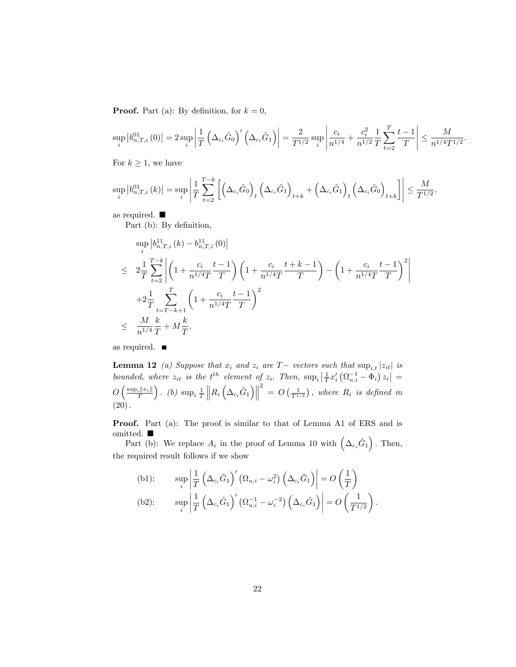**Proof.** Part (a): By definition, for  $k = 0$ ,

$$
\sup_{i} \left| b_{n,T,i}^{01}\left(0\right) \right| = 2 \sup_{i} \left| \frac{1}{T} \left( \Delta_{c_{i}} \tilde{G}_{0} \right)' \left( \Delta_{c_{i}} \tilde{G}_{1} \right) \right| = \frac{2}{T^{1/2}} \sup_{i} \left| \frac{c_{i}}{n^{1/4}} + \frac{c_{i}^{2}}{n^{1/2}} \frac{1}{T} \sum_{t=2}^{T} \frac{t-1}{T} \right| \leq \frac{M}{n^{1/4} T^{1/2}}.
$$

For  $k \geq 1$ , we have

$$
\sup_{i} \left| b_{n,T,i}^{01}\left( k \right) \right| = \sup_{i} \left| \frac{1}{T} \sum_{t=2}^{T-k} \left[ \left( \Delta_{c_i} \tilde{G}_0 \right)_t \left( \Delta_{c_i} \tilde{G}_1 \right)_{t+k} + \left( \Delta_{c_i} \tilde{G}_1 \right)_t \left( \Delta_{c_i} \tilde{G}_0 \right)_{t+k} \right] \right| \le \frac{M}{T^{1/2}},
$$

as required.

Part (b): By definition,

$$
\sup_{i} |b_{n,T,i}^{11}(k) - b_{n,T,i}^{11}(0)|
$$
\n
$$
\leq 2\frac{1}{T} \sum_{t=2}^{T-k} \left| \left(1 + \frac{c_i}{n^{1/4}T} \frac{t-1}{T}\right) \left(1 + \frac{c_i}{n^{1/4}T} \frac{t+k-1}{T}\right) - \left(1 + \frac{c_i}{n^{1/4}T} \frac{t-1}{T}\right)^2 \right|
$$
\n
$$
+ 2\frac{1}{T} \sum_{t=T-k+1}^{T} \left(1 + \frac{c_i}{n^{1/4}T} \frac{t-1}{T}\right)^2
$$
\n
$$
\leq \frac{M}{n^{1/4}} \frac{k}{T} + M\frac{k}{T},
$$

as required.  $\blacksquare$ 

**Lemma 12** (a) Suppose that  $x_i$  and  $z_i$  are  $T-$  vectors such that  $\sup_{i,t}|z_{it}|$  is bounded, where  $z_{it}$  is the  $t^{th}$  element of  $z_i$ . Then,  $\sup_i \left| \frac{1}{T} x_i' \left( \Omega_{u,i}^{-1} - \Phi_i \right) z_i \right|$  =  $O\left(\frac{\sup_i ||x_i||}{T}\right)$ ). (b)  $\sup_i \frac{1}{T}$  $\left\|R_i\left(\Delta_{c_i}\tilde{G}_1\right)\right\|$  $\frac{2}{2}$  =  $O\left(\frac{1}{T^{1/2}}\right)$ , where  $R_i$  is defined in  $(20).$ 

Proof. Part (a): The proof is similar to that of Lemma A1 of ERS and is omitted.

Part (b): We replace  $A_i$  in the proof of Lemma 10 with  $(\Delta_{c_i}\tilde{G}_1)$ . Then, the required result follows if we show

(b1): 
$$
\sup_{i} \left| \frac{1}{T} \left( \Delta_{c_i} \tilde{G}_1 \right)' \left( \Omega_{u,i} - \omega_i^2 \right) \left( \Delta_{c_i} \tilde{G}_1 \right) \right| = O\left(\frac{1}{T}\right)
$$
  
(b2): 
$$
\sup_{i} \left| \frac{1}{T} \left( \Delta_{c_i} \tilde{G}_1 \right)' \left( \Omega_{u,i}^{-1} - \omega_i^{-2} \right) \left( \Delta_{c_i} \tilde{G}_1 \right) \right| = O\left(\frac{1}{T^{1/2}}\right).
$$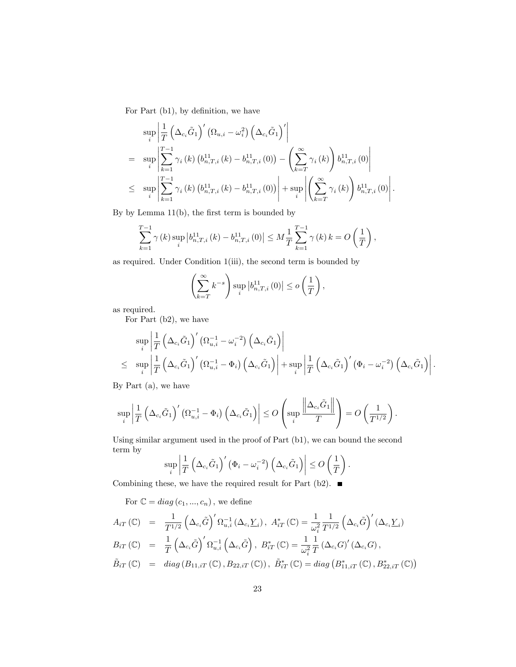For Part (b1), by definition, we have

$$
\sup_{i} \left| \frac{1}{T} \left( \Delta_{c_{i}} \tilde{G}_{1} \right)' \left( \Omega_{u,i} - \omega_{i}^{2} \right) \left( \Delta_{c_{i}} \tilde{G}_{1} \right)' \right|
$$
\n
$$
= \sup_{i} \left| \sum_{k=1}^{T-1} \gamma_{i} \left( k \right) \left( b_{n,T,i}^{11} \left( k \right) - b_{n,T,i}^{11} \left( 0 \right) \right) - \left( \sum_{k=T}^{\infty} \gamma_{i} \left( k \right) \right) b_{n,T,i}^{11} \left( 0 \right) \right|
$$
\n
$$
\leq \sup_{i} \left| \sum_{k=1}^{T-1} \gamma_{i} \left( k \right) \left( b_{n,T,i}^{11} \left( k \right) - b_{n,T,i}^{11} \left( 0 \right) \right) \right| + \sup_{i} \left| \left( \sum_{k=T}^{\infty} \gamma_{i} \left( k \right) \right) b_{n,T,i}^{11} \left( 0 \right) \right|.
$$

By by Lemma  $11(b)$ , the first term is bounded by

$$
\sum_{k=1}^{T-1} \gamma(k) \sup_{i} \left| b_{n,T,i}^{11}(k) - b_{n,T,i}^{11}(0) \right| \leq M \frac{1}{T} \sum_{k=1}^{T-1} \gamma(k) k = O\left(\frac{1}{T}\right),
$$

as required. Under Condition 1(iii), the second term is bounded by

$$
\left(\sum_{k=T}^{\infty} k^{-s}\right) \sup_{i} \left|b_{n,T,i}^{11}\left(0\right)\right| \le o\left(\frac{1}{T}\right),\,
$$

as required.

For Part (b2), we have

$$
\sup_{i} \left| \frac{1}{T} \left( \Delta_{c_i} \tilde{G}_1 \right)' (\Omega_{u,i}^{-1} - \omega_i^{-2}) \left( \Delta_{c_i} \tilde{G}_1 \right) \right|
$$
\n
$$
\leq \sup_{i} \left| \frac{1}{T} \left( \Delta_{c_i} \tilde{G}_1 \right)' (\Omega_{u,i}^{-1} - \Phi_i) \left( \Delta_{c_i} \tilde{G}_1 \right) \right| + \sup_{i} \left| \frac{1}{T} \left( \Delta_{c_i} \tilde{G}_1 \right)' (\Phi_i - \omega_i^{-2}) \left( \Delta_{c_i} \tilde{G}_1 \right) \right|.
$$

By Part (a), we have

$$
\sup_i \left| \frac{1}{T} \left( \Delta_{c_i} \tilde{G}_1 \right)' \left( \Omega_{u,i}^{-1} - \Phi_i \right) \left( \Delta_{c_i} \tilde{G}_1 \right) \right| \leq O \left( \sup_i \frac{\left\| \Delta_{c_i} \tilde{G}_1 \right\|}{T} \right) = O \left( \frac{1}{T^{1/2}} \right).
$$

Using similar argument used in the proof of Part (b1), we can bound the second term by

$$
\sup_{i} \left| \frac{1}{T} \left( \Delta_{c_i} \tilde{G}_1 \right)' \left( \Phi_i - \omega_i^{-2} \right) \left( \Delta_{c_i} \tilde{G}_1 \right) \right| \leq O\left(\frac{1}{T}\right).
$$

Combining these, we have the required result for Part (b2).  $\blacksquare$ 

For  $\mathbb{C} = diag(c_1, ..., c_n)$ , we define

$$
A_{iT}(\mathbb{C}) = \frac{1}{T^{1/2}} \left( \Delta_{c_i} \tilde{G} \right)' \Omega_{u,i}^{-1} \left( \Delta_{c_i} \underline{Y}_i \right), \ A_{iT}^* \left( \mathbb{C} \right) = \frac{1}{\omega_i^2} \frac{1}{T^{1/2}} \left( \Delta_{c_i} \tilde{G} \right)' \left( \Delta_{c_i} \underline{Y}_i \right)
$$
  
\n
$$
B_{iT}(\mathbb{C}) = \frac{1}{T} \left( \Delta_{c_i} \tilde{G} \right)' \Omega_{u,i}^{-1} \left( \Delta_{c_i} \tilde{G} \right), \ B_{iT}^* \left( \mathbb{C} \right) = \frac{1}{\omega_i^2} \frac{1}{T} \left( \Delta_{c_i} G \right)' \left( \Delta_{c_i} G \right),
$$
  
\n
$$
\tilde{B}_{iT}(\mathbb{C}) = diag \left( B_{11,iT}(\mathbb{C}), B_{22,iT}(\mathbb{C}) \right), \ \tilde{B}_{iT}^*(\mathbb{C}) = diag \left( B_{11,iT}^*(\mathbb{C}), B_{22,iT}^*(\mathbb{C}) \right)
$$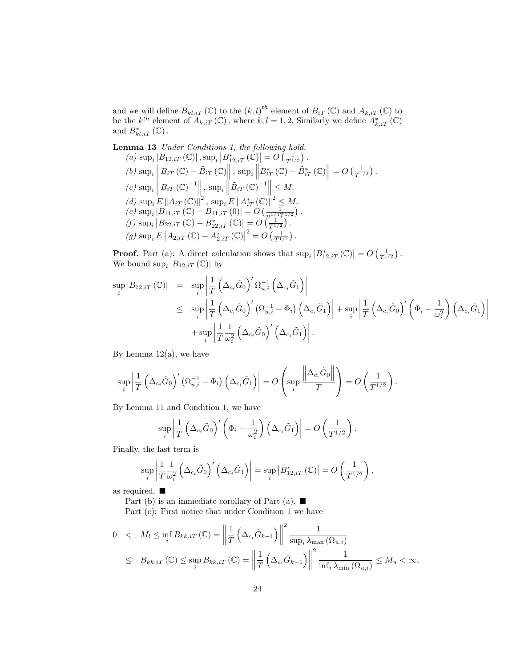and we will define  $B_{kl, iT} (\mathbb{C})$  to the  $(k, l)^{th}$  element of  $B_{iT} (\mathbb{C})$  and  $A_{k, iT} (\mathbb{C})$  to be the  $k^{th}$  element of  $A_{k,iT}(\mathbb{C})$ , where  $k, l = 1, 2$ . Similarly we define  $A_{k,iT}^*(\mathbb{C})$ and  $B_{kl, iT}^*$  (C).

Lemma 13 Under Conditions 1, the following hold. (a)  $\sup_i |B_{12,iT}(\mathbb{C})|$ ,  $\sup_i |B^*_{12,iT}(\mathbb{C})| = O\left(\frac{1}{T^{1/2}}\right)$ .  $\left|B_{12,iT}\left(\mathbb{C}\right)\right|,\sup_{i}\left|B_{12,iT}^{*}\left(\mathbb{C}\right)\right|=O\left(\frac{1}{T^{1/2}}\right)$ (b)  $\sup_i \left\| B_{iT}(\mathbb{C}) - \tilde{B}_{iT}(\mathbb{C}) \right\|$ ,  $\sup_i \left\| B_{iT}^*(\mathbb{C}) - \tilde{B}_{iT}^*(\mathbb{C}) \right\| = O\left(\frac{1}{T^{1/2}}\right)$ . (c)  $\sup_i \left\| B_{iT} \left( \mathbb{C} \right)^{-1} \right\|_2, \sup_i \left\| \tilde{B}_{iT} \left( \mathbb{C} \right)^{-1} \right\|_2 \leq M.$ (d)  $\sup_i E \left\| A_{iT} \left( \mathbb{C} \right) \right\|^2$ ,  $\sup_i E \left\| A_{iT}^* \left( \mathbb{C} \right) \right\|^2 \leq M$ . (e)  $\sup_i |B_{11,iT}(\mathbb{C}) - B_{11,iT}(0)| = O\left(\frac{1}{n^{1/4}T^{1/2}}\right)$ . (f)  $\sup_i |B_{22,iT}(\mathbb{C}) - B_{22,iT}^*(\mathbb{C})| = O\left(\frac{1}{T^{1/2}}\right)$ . (g)  $\sup_i E \left| A_{2,iT} (\mathbb{C}) - A_{2,iT}^* (\mathbb{C}) \right|^2 = O \left( \frac{1}{T^{1/2}} \right).$ 2

**Proof.** Part (a): A direct calculation shows that  $\sup_i |B^*_{12,iT}(\mathbb{C})| = O\left(\frac{1}{T^{1/2}}\right)$ . We bound  $\sup_i |B_{12,iT}(\mathbb{C})|$  by

$$
\sup_{i} |B_{12,iT}(\mathbb{C})| = \sup_{i} \left| \frac{1}{T} \left( \Delta_{c_{i}} \tilde{G}_{0} \right)' \Omega_{u,i}^{-1} \left( \Delta_{c_{i}} \tilde{G}_{1} \right) \right|
$$
  
\n
$$
\leq \sup_{i} \left| \frac{1}{T} \left( \Delta_{c_{i}} \tilde{G}_{0} \right)' \left( \Omega_{u,i}^{-1} - \Phi_{i} \right) \left( \Delta_{c_{i}} \tilde{G}_{1} \right) \right| + \sup_{i} \left| \frac{1}{T} \left( \Delta_{c_{i}} \tilde{G}_{0} \right)' \left( \Phi_{i} - \frac{1}{\omega_{i}^{2}} \right) \left( \Delta_{c_{i}} \tilde{G}_{1} \right) \right|
$$
  
\n
$$
+ \sup_{i} \left| \frac{1}{T} \frac{1}{\omega_{i}^{2}} \left( \Delta_{c_{i}} \tilde{G}_{0} \right)' \left( \Delta_{c_{i}} \tilde{G}_{1} \right) \right|.
$$

By Lemma  $12(a)$ , we have

$$
\sup_{i} \left| \frac{1}{T} \left( \Delta_{c_i} \tilde{G}_0 \right)' \left( \Omega_{u,i}^{-1} - \Phi_i \right) \left( \Delta_{c_i} \tilde{G}_1 \right) \right| = O \left( \sup_i \frac{\left\| \Delta_{c_i} \tilde{G}_0 \right\|}{T} \right) = O \left( \frac{1}{T^{1/2}} \right).
$$

By Lemma 11 and Condition 1, we have

$$
\sup_{i} \left| \frac{1}{T} \left( \Delta_{c_i} \tilde{G}_0 \right)' \left( \Phi_i - \frac{1}{\omega_i^2} \right) \left( \Delta_{c_i} \tilde{G}_1 \right) \right| = O \left( \frac{1}{T^{1/2}} \right).
$$

Finally, the last term is

$$
\sup_{i} \left| \frac{1}{T} \frac{1}{\omega_i^2} \left( \Delta_{c_i} \tilde{G}_0 \right)' \left( \Delta_{c_i} \tilde{G}_1 \right) \right| = \sup_{i} \left| B_{12,iT}^* \left( \mathbb{C} \right) \right| = O \left( \frac{1}{T^{1/2}} \right),
$$

as required.

Part (b) is an immediate corollary of Part (a).  $\blacksquare$ 

Part (c): First notice that under Condition 1 we have

$$
0 < M_{l} \le \inf_{i} B_{kk,iT} (\mathbb{C}) = \left\| \frac{1}{T} \left( \Delta_{c_{i}} \tilde{G}_{k-1} \right) \right\|^{2} \frac{1}{\sup_{i} \lambda_{\max} (\Omega_{u,i})}
$$
  

$$
\le B_{kk,iT} (\mathbb{C}) \le \sup_{i} B_{kk,iT} (\mathbb{C}) = \left\| \frac{1}{T} \left( \Delta_{c_{i}} \tilde{G}_{k-1} \right) \right\|^{2} \frac{1}{\inf_{i} \lambda_{\min} (\Omega_{u,i})} \le M_{u} < \infty,
$$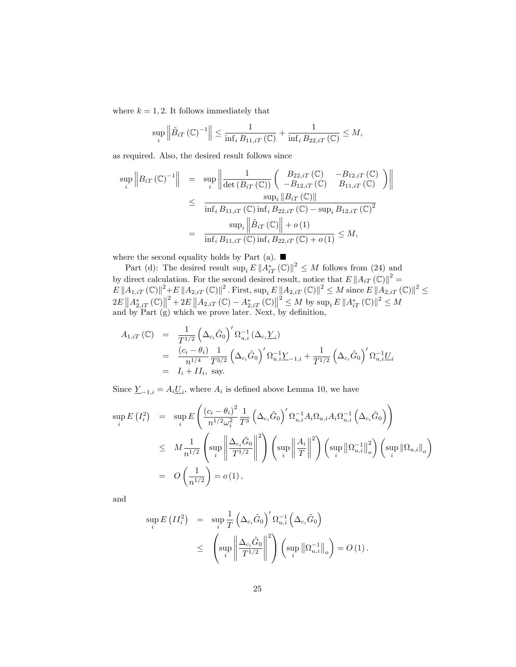where  $k = 1, 2$ . It follows immediately that

$$
\sup_{i} \left\| \tilde{B}_{iT} \left( \mathbb{C} \right)^{-1} \right\| \leq \frac{1}{\inf_{i} B_{11,iT} \left( \mathbb{C} \right)} + \frac{1}{\inf_{i} B_{22,iT} \left( \mathbb{C} \right)} \leq M,
$$

as required. Also, the desired result follows since

$$
\sup_{i} \|B_{iT}(\mathbb{C})^{-1}\| = \sup_{i} \left\| \frac{1}{\det(B_{iT}(\mathbb{C}))} \begin{pmatrix} B_{22,iT}(\mathbb{C}) & -B_{12,iT}(\mathbb{C}) \\ -B_{12,iT}(\mathbb{C}) & B_{11,iT}(\mathbb{C}) \end{pmatrix} \right\|
$$
  
\n
$$
\leq \frac{\sup_{i} \|B_{iT}(\mathbb{C})\|}{\inf_{i} B_{11,iT}(\mathbb{C}) \inf_{i} B_{22,iT}(\mathbb{C}) - \sup_{i} B_{12,iT}(\mathbb{C})^{2}}
$$
  
\n
$$
= \frac{\sup_{i} \left\| \tilde{B}_{iT}(\mathbb{C}) \right\| + o(1)}{\inf_{i} B_{11,iT}(\mathbb{C}) \inf_{i} B_{22,iT}(\mathbb{C}) + o(1)} \leq M,
$$

where the second equality holds by Part (a).  $\blacksquare$ 

Part (d): The desired result  $\sup_i E ||A_{iT}^*(\mathbb{C})||^2 \leq M$  follows from (24) and by direct calculation. For the second desired result, notice that  $E \|A_{iT}(\mathbb{C})\|^2 =$  $E\left\|A_{1,iT}\left(\mathbb{C}\right)\right\|^{2}+E\left\|A_{2,iT}\left(\mathbb{C}\right)\right\|^{2}$ . First,  $\sup_{i} E\left\|A_{2,iT}\left(\mathbb{C}\right)\right\|^{2} \leq M$  since  $E\left\|A_{2,iT}\left(\mathbb{C}\right)\right\|^{2} \leq M$  $2E\left\|A_{2,iT}^*\left(\mathbb{C}\right)\right\|^2 + 2E\left\|A_{2,iT}\left(\mathbb{C}\right) - A_{2,iT}^*\left(\mathbb{C}\right)\right\|^2 \leq M$  by  $\sup_i E\left\|A_{iT}^*\left(\mathbb{C}\right)\right\|^2 \leq M$ and by Part  $(g)$  which we prove later. Next, by definition,

$$
A_{1,iT}(\mathbb{C}) = \frac{1}{T^{1/2}} \left( \Delta_{c_i} \tilde{G}_0 \right)' \Omega_{u,i}^{-1} \left( \Delta_{c_i} \underline{Y}_i \right)
$$
  
\n
$$
= \frac{(c_i - \theta_i)}{n^{1/4}} \frac{1}{T^{3/2}} \left( \Delta_{c_i} \tilde{G}_0 \right)' \Omega_{u,i}^{-1} \underline{Y}_{-1,i} + \frac{1}{T^{1/2}} \left( \Delta_{c_i} \tilde{G}_0 \right)' \Omega_{u,i}^{-1} \underline{U}_i
$$
  
\n
$$
= I_i + II_i, \text{ say.}
$$

Since  $\underline{Y}_{-1,i} = A_i \underline{U}_i$ , where  $A_i$  is defined above Lemma 10, we have

$$
\sup_{i} E(I_i^2) = \sup_{i} E\left(\frac{(c_i - \theta_i)^2}{n^{1/2}\omega_i^2} \frac{1}{T^3} \left(\Delta_{c_i}\tilde{G}_0\right)' \Omega_{u,i}^{-1} A_i \Omega_{u,i} A_i \Omega_{u,i}^{-1} \left(\Delta_{c_i}\tilde{G}_0\right)\right)
$$
  

$$
\leq M \frac{1}{n^{1/2}} \left(\sup_{i} \left\|\frac{\Delta_{c_i}\tilde{G}_0}{T^{1/2}}\right\|^2\right) \left(\sup_{i} \left\|\frac{A_i}{T}\right\|^2\right) \left(\sup_{i} \left\|\Omega_{u,i}^{-1}\right\|^2\right) \left(\sup_{i} \left\|\Omega_{u,i}\right\|^2\right)
$$
  

$$
= O\left(\frac{1}{n^{1/2}}\right) = o\left(1\right),
$$

and

$$
\sup_{i} E\left(II_{i}^{2}\right) = \sup_{i} \frac{1}{T} \left(\Delta_{c_{i}} \tilde{G}_{0}\right)' \Omega_{u,i}^{-1}\left(\Delta_{c_{i}} \tilde{G}_{0}\right)
$$
  

$$
\leq \left(\sup_{i} \left\|\frac{\Delta_{c_{i}} \tilde{G}_{0}}{T^{1/2}}\right\|^{2}\right) \left(\sup_{i} \left\|\Omega_{u,i}^{-1}\right\|_{o}\right) = O\left(1\right).
$$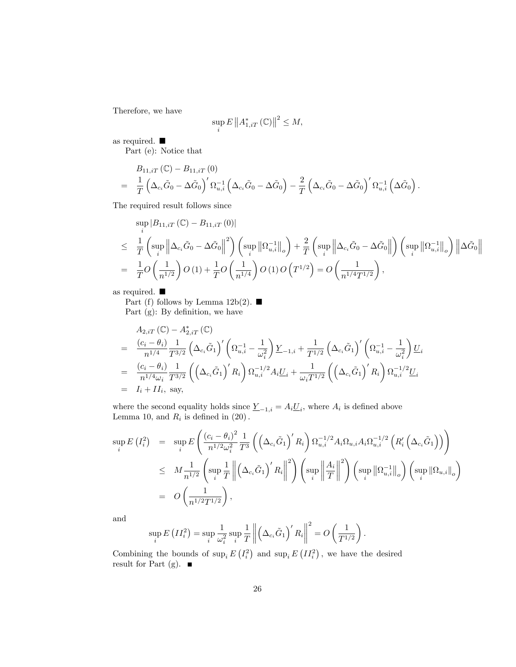Therefore, we have

$$
\sup_{i} E \left\| A_{1, iT}^{*} \left( \mathbb{C} \right) \right\|^{2} \leq M,
$$

as required.

Part (e): Notice that

$$
B_{11,iT} (\mathbb{C}) - B_{11,iT} (0)
$$
  
=  $\frac{1}{T} \left( \Delta_{c_i} \tilde{G}_0 - \Delta \tilde{G}_0 \right)' \Omega_{u,i}^{-1} \left( \Delta_{c_i} \tilde{G}_0 - \Delta \tilde{G}_0 \right) - \frac{2}{T} \left( \Delta_{c_i} \tilde{G}_0 - \Delta \tilde{G}_0 \right)' \Omega_{u,i}^{-1} \left( \Delta \tilde{G}_0 \right).$ 

The required result follows since

$$
\sup_{i} |B_{11,iT}(\mathbb{C}) - B_{11,iT}(0)|
$$
\n
$$
\leq \frac{1}{T} \left( \sup_{i} \left\| \Delta_{c_{i}} \tilde{G}_{0} - \Delta \tilde{G}_{0} \right\|^{2} \right) \left( \sup_{i} \left\| \Omega_{u,i}^{-1} \right\|_{o} \right) + \frac{2}{T} \left( \sup_{i} \left\| \Delta_{c_{i}} \tilde{G}_{0} - \Delta \tilde{G}_{0} \right\| \right) \left( \sup_{i} \left\| \Omega_{u,i}^{-1} \right\|_{o} \right) \left\| \Delta \tilde{G}_{0} \right\|
$$
\n
$$
= \frac{1}{T} O\left(\frac{1}{n^{1/2}}\right) O\left(1\right) + \frac{1}{T} O\left(\frac{1}{n^{1/4}}\right) O\left(1\right) O\left(T^{1/2}\right) = O\left(\frac{1}{n^{1/4} T^{1/2}}\right),
$$

as required.

Part (f) follows by Lemma 12b(2).  $\blacksquare$ Part  $(g)$ : By definition, we have

$$
A_{2,iT} (\mathbb{C}) - A_{2,iT}^* (\mathbb{C})
$$
\n
$$
= \frac{(c_i - \theta_i)}{n^{1/4}} \frac{1}{T^{3/2}} \left( \Delta_{c_i} \tilde{G}_1 \right)' \left( \Omega_{u,i}^{-1} - \frac{1}{\omega_i^2} \right) \underline{Y}_{-1,i} + \frac{1}{T^{1/2}} \left( \Delta_{c_i} \tilde{G}_1 \right)' \left( \Omega_{u,i}^{-1} - \frac{1}{\omega_i^2} \right) \underline{U}_i
$$
\n
$$
= \frac{(c_i - \theta_i)}{n^{1/4} \omega_i} \frac{1}{T^{3/2}} \left( \left( \Delta_{c_i} \tilde{G}_1 \right)' R_i \right) \Omega_{u,i}^{-1/2} A_i \underline{U}_i + \frac{1}{\omega_i T^{1/2}} \left( \left( \Delta_{c_i} \tilde{G}_1 \right)' R_i \right) \Omega_{u,i}^{-1/2} \underline{U}_i
$$
\n
$$
= I_i + II_i, \text{ say,}
$$

where the second equality holds since  $\underline{Y}_{-1,i} = A_i \underline{U}_i$ , where  $A_i$  is defined above Lemma 10, and  $R_i$  is defined in  $(20)$ .

$$
\sup_{i} E(I_{i}^{2}) = \sup_{i} E\left(\frac{\left(c_{i} - \theta_{i}\right)^{2}}{n^{1/2}\omega_{i}^{2}} \frac{1}{T^{3}} \left(\left(\Delta_{c_{i}}\tilde{G}_{1}\right)^{'} R_{i}\right) \Omega_{u,i}^{-1/2} A_{i} \Omega_{u,i} A_{i} \Omega_{u,i}^{-1/2} \left(R_{i}^{\prime}\left(\Delta_{c_{i}}\tilde{G}_{1}\right)\right)\right) \n\leq M \frac{1}{n^{1/2}} \left(\sup_{i} \frac{1}{T} \left\|\left(\Delta_{c_{i}}\tilde{G}_{1}\right)^{\prime} R_{i}\right\|^{2}\right) \left(\sup_{i} \left\|\frac{A_{i}}{T}\right\|^{2}\right) \left(\sup_{i} \left\|\Omega_{u,i}^{-1}\right\|_{o}\right) \left(\sup_{i} \left\|\Omega_{u,i}\right\|_{o}\right) \n= O\left(\frac{1}{n^{1/2}T^{1/2}}\right),
$$

and

$$
\sup_{i} E\left(II_i^2\right) = \sup_{i} \frac{1}{\omega_i^2} \sup_{i} \frac{1}{T} \left\| \left( \Delta_{c_i} \tilde{G}_1 \right)' R_i \right\|^2 = O\left(\frac{1}{T^{1/2}}\right).
$$

Combining the bounds of  $\sup_i E(I_i^2)$  and  $\sup_i E(I_i^2)$ , we have the desired result for Part (g).  $\blacksquare$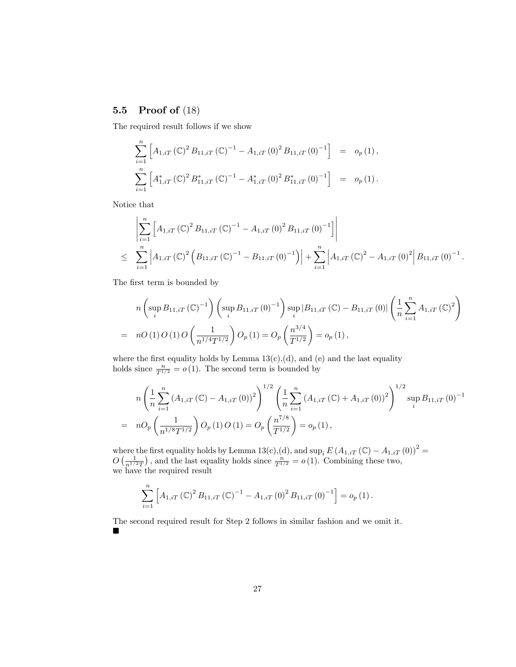## 5.5 Proof of (18)

The required result follows if we show

$$
\sum_{i=1}^{n} \left[ A_{1,iT} (\mathbb{C})^2 B_{11,iT} (\mathbb{C})^{-1} - A_{1,iT} (0)^2 B_{11,iT} (0)^{-1} \right] = o_p (1),
$$
  

$$
\sum_{i=1}^{n} \left[ A_{1,iT}^* (\mathbb{C})^2 B_{11,iT}^* (\mathbb{C})^{-1} - A_{1,iT}^* (0)^2 B_{11,iT}^* (0)^{-1} \right] = o_p (1).
$$

Notice that

$$
\left| \sum_{i=1}^{n} \left[ A_{1,iT} \left( \mathbb{C} \right)^{2} B_{11,iT} \left( \mathbb{C} \right)^{-1} - A_{1,iT} \left( 0 \right)^{2} B_{11,iT} \left( 0 \right)^{-1} \right] \right|
$$
\n
$$
\leq \sum_{i=1}^{n} \left| A_{1,iT} \left( \mathbb{C} \right)^{2} \left( B_{11,iT} \left( \mathbb{C} \right)^{-1} - B_{11,iT} \left( 0 \right)^{-1} \right) \right| + \sum_{i=1}^{n} \left| A_{1,iT} \left( \mathbb{C} \right)^{2} - A_{1,iT} \left( 0 \right)^{2} \right| B_{11,iT} \left( 0 \right)^{-1}.
$$

The first term is bounded by

$$
n\left(\sup_{i} B_{11,iT}(\mathbb{C})^{-1}\right)\left(\sup_{i} B_{11,iT}(0)^{-1}\right)\sup_{i} |B_{11,iT}(\mathbb{C}) - B_{11,iT}(0)| \left(\frac{1}{n}\sum_{i=1}^{n} A_{1,iT}(\mathbb{C})^{2}\right)
$$
  
=  $nO(1) O(1) O\left(\frac{1}{n^{1/4}T^{1/2}}\right) O_p(1) = O_p\left(\frac{n^{3/4}}{T^{1/2}}\right) = o_p(1),$ 

where the first equality holds by Lemma  $13(c)$ , (d), and (e) and the last equality holds since  $\frac{n}{T^{1/2}} = o(1)$ . The second term is bounded by

$$
n\left(\frac{1}{n}\sum_{i=1}^{n}\left(A_{1,iT}\left(\mathbb{C}\right)-A_{1,iT}\left(0\right)\right)^{2}\right)^{1/2}\left(\frac{1}{n}\sum_{i=1}^{n}\left(A_{1,iT}\left(\mathbb{C}\right)+A_{1,iT}\left(0\right)\right)^{2}\right)^{1/2}\sup_{i}\left(B_{11,iT}\left(0\right)^{-1}\right)
$$

$$
= nO_{p}\left(\frac{1}{n^{1/8}T^{1/2}}\right)O_{p}\left(1\right)O\left(1\right)=O_{p}\left(\frac{n^{7/8}}{T^{1/2}}\right)=o_{p}\left(1\right),
$$

where the first equality holds by Lemma 13(c),(d), and  $\sup_i E (A_{1,iT}(\mathbb{C}) - A_{1,iT}(0))^2 =$  $O\left(\frac{1}{n^{1/2}T}\right)$ , and the last equality holds since  $\frac{n}{T^{1/2}} = o(1)$ . Combining these two, we have the required result

$$
\sum_{i=1}^{n} \left[ A_{1,iT} \left( \mathbb{C} \right)^{2} B_{11,iT} \left( \mathbb{C} \right)^{-1} - A_{1,iT} \left( 0 \right)^{2} B_{11,iT} \left( 0 \right)^{-1} \right] = o_{p} \left( 1 \right).
$$

The second required result for Step 2 follows in similar fashion and we omit it.  $\blacksquare$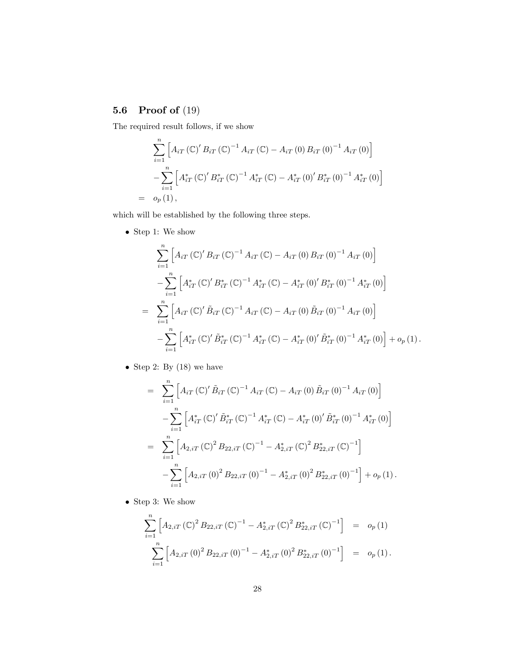## 5.6 Proof of (19)

The required result follows, if we show

$$
\sum_{i=1}^{n} \left[ A_{iT} (\mathbb{C})' B_{iT} (\mathbb{C})^{-1} A_{iT} (\mathbb{C}) - A_{iT} (0) B_{iT} (0)^{-1} A_{iT} (0) \right]
$$
  
 
$$
- \sum_{i=1}^{n} \left[ A_{iT}^* (\mathbb{C})' B_{iT}^* (\mathbb{C})^{-1} A_{iT}^* (\mathbb{C}) - A_{iT}^* (0)' B_{iT}^* (0)^{-1} A_{iT}^* (0) \right]
$$
  
=  $o_p (1),$ 

which will be established by the following three steps.

 $\bullet\,$  Step 1: We show

$$
\sum_{i=1}^{n} \left[ A_{iT} \left( \mathbb{C} \right)^{\prime} B_{iT} \left( \mathbb{C} \right)^{-1} A_{iT} \left( \mathbb{C} \right) - A_{iT} \left( 0 \right) B_{iT} \left( 0 \right)^{-1} A_{iT} \left( 0 \right) \right] \n- \sum_{i=1}^{n} \left[ A_{iT}^{*} \left( \mathbb{C} \right)^{\prime} B_{iT}^{*} \left( \mathbb{C} \right)^{-1} A_{iT}^{*} \left( \mathbb{C} \right) - A_{iT}^{*} \left( 0 \right)^{\prime} B_{iT}^{*} \left( 0 \right)^{-1} A_{iT}^{*} \left( 0 \right) \right] \n= \sum_{i=1}^{n} \left[ A_{iT} \left( \mathbb{C} \right)^{\prime} \tilde{B}_{iT} \left( \mathbb{C} \right)^{-1} A_{iT} \left( \mathbb{C} \right) - A_{iT} \left( 0 \right) \tilde{B}_{iT} \left( 0 \right)^{-1} A_{iT} \left( 0 \right) \right] \n- \sum_{i=1}^{n} \left[ A_{iT}^{*} \left( \mathbb{C} \right)^{\prime} \tilde{B}_{iT}^{*} \left( \mathbb{C} \right)^{-1} A_{iT}^{*} \left( \mathbb{C} \right) - A_{iT}^{*} \left( 0 \right)^{\prime} \tilde{B}_{iT}^{*} \left( 0 \right)^{-1} A_{iT}^{*} \left( 0 \right) \right] + o_p \left( 1 \right).
$$

• Step 2: By  $(18)$  we have

$$
= \sum_{i=1}^{n} \left[ A_{iT} (\mathbb{C})' \tilde{B}_{iT} (\mathbb{C})^{-1} A_{iT} (\mathbb{C}) - A_{iT} (0) \tilde{B}_{iT} (0)^{-1} A_{iT} (0) \right]
$$
  

$$
- \sum_{i=1}^{n} \left[ A_{iT}^* (\mathbb{C})' \tilde{B}_{iT}^* (\mathbb{C})^{-1} A_{iT}^* (\mathbb{C}) - A_{iT}^* (0) \tilde{B}_{iT}^* (0)^{-1} A_{iT}^* (0) \right]
$$
  

$$
= \sum_{i=1}^{n} \left[ A_{2,iT} (\mathbb{C})^2 B_{22,iT} (\mathbb{C})^{-1} - A_{2,iT}^* (\mathbb{C})^2 B_{22,iT}^* (\mathbb{C})^{-1} \right]
$$
  

$$
- \sum_{i=1}^{n} \left[ A_{2,iT} (0)^2 B_{22,iT} (0)^{-1} - A_{2,iT}^* (0)^2 B_{22,iT}^* (0)^{-1} \right] + o_p (1).
$$

 $\bullet\,$  Step 3: We show

$$
\sum_{i=1}^{n} \left[ A_{2,iT} \left( \mathbb{C} \right)^{2} B_{22,iT} \left( \mathbb{C} \right)^{-1} - A_{2,iT}^{*} \left( \mathbb{C} \right)^{2} B_{22,iT}^{*} \left( \mathbb{C} \right)^{-1} \right] = o_{p}(1)
$$
  

$$
\sum_{i=1}^{n} \left[ A_{2,iT} \left( 0 \right)^{2} B_{22,iT} \left( 0 \right)^{-1} - A_{2,iT}^{*} \left( 0 \right)^{2} B_{22,iT}^{*} \left( 0 \right)^{-1} \right] = o_{p}(1).
$$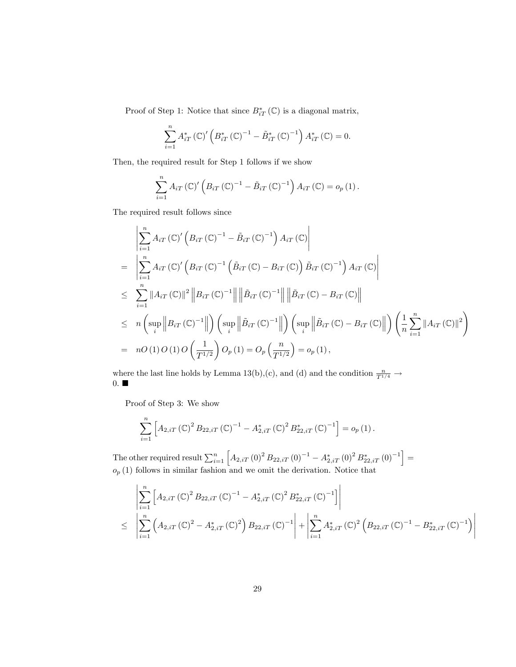Proof of Step 1: Notice that since  $B^*_{iT}(\mathbb{C})$  is a diagonal matrix,

$$
\sum_{i=1}^{n} A_{iT}^{*} (\mathbb{C})' \left( B_{iT}^{*} (\mathbb{C})^{-1} - \tilde{B}_{iT}^{*} (\mathbb{C})^{-1} \right) A_{iT}^{*} (\mathbb{C}) = 0.
$$

Then, the required result for Step 1 follows if we show

$$
\sum_{i=1}^{n} A_{iT} (\mathbb{C})' (B_{iT} (\mathbb{C})^{-1} - \tilde{B}_{iT} (\mathbb{C})^{-1}) A_{iT} (\mathbb{C}) = o_p (1).
$$

The required result follows since

$$
\begin{split}\n&\left|\sum_{i=1}^{n} A_{iT} \left(\mathbb{C}\right)' \left(B_{iT} \left(\mathbb{C}\right)^{-1} - \tilde{B}_{iT} \left(\mathbb{C}\right)^{-1}\right) A_{iT} \left(\mathbb{C}\right)\right| \\
&= \left|\sum_{i=1}^{n} A_{iT} \left(\mathbb{C}\right)' \left(B_{iT} \left(\mathbb{C}\right)^{-1} \left(\tilde{B}_{iT} \left(\mathbb{C}\right) - B_{iT} \left(\mathbb{C}\right)\right) \tilde{B}_{iT} \left(\mathbb{C}\right)^{-1}\right) A_{iT} \left(\mathbb{C}\right)\right| \\
&\leq \sum_{i=1}^{n} \|A_{iT} \left(\mathbb{C}\right)\|^2 \left\|B_{iT} \left(\mathbb{C}\right)^{-1}\right\| \left\|\tilde{B}_{iT} \left(\mathbb{C}\right)^{-1}\right\| \left\|\tilde{B}_{iT} \left(\mathbb{C}\right) - B_{iT} \left(\mathbb{C}\right)\right\| \\
&\leq n \left(\sup_{i} \|B_{iT} \left(\mathbb{C}\right)^{-1}\right\| \right) \left(\sup_{i} \left\|\tilde{B}_{iT} \left(\mathbb{C}\right)^{-1}\right\| \right) \left(\sup_{i} \left\|\tilde{B}_{iT} \left(\mathbb{C}\right) - B_{iT} \left(\mathbb{C}\right)\right\| \right) \left(\frac{1}{n} \sum_{i=1}^{n} \|A_{iT} \left(\mathbb{C}\right)\|^2\right) \\
&= nO\left(1\right)O\left(1\right)O\left(\frac{1}{T^{1/2}}\right)O_p\left(1\right) = O_p\left(\frac{n}{T^{1/2}}\right) = o_p\left(1\right),\n\end{split}
$$

where the last line holds by Lemma 13(b),(c), and (d) and the condition  $\frac{n}{T^{1/4}} \to$  $0. \blacksquare$ 

Proof of Step 3: We show

$$
\sum_{i=1}^{n} \left[ A_{2,iT} (\mathbb{C})^2 B_{22,iT} (\mathbb{C})^{-1} - A_{2,iT}^* (\mathbb{C})^2 B_{22,iT}^* (\mathbb{C})^{-1} \right] = o_p (1).
$$

The other required result  $\sum_{i=1}^{n} \left[ A_{2,iT} (0)^2 B_{22,iT} (0)^{-1} - A_{2,iT}^* (0)^2 B_{22,iT}^* (0)^{-1} \right] =$  $o_p(1)$  follows in similar fashion and we omit the derivation. Notice that

$$
\left| \sum_{i=1}^{n} \left[ A_{2,iT} \left( \mathbb{C} \right)^{2} B_{22,iT} \left( \mathbb{C} \right)^{-1} - A_{2,iT}^{*} \left( \mathbb{C} \right)^{2} B_{22,iT}^{*} \left( \mathbb{C} \right)^{-1} \right] \right|
$$
\n
$$
\leq \left| \sum_{i=1}^{n} \left( A_{2,iT} \left( \mathbb{C} \right)^{2} - A_{2,iT}^{*} \left( \mathbb{C} \right)^{2} \right) B_{22,iT} \left( \mathbb{C} \right)^{-1} \right| + \left| \sum_{i=1}^{n} A_{2,iT}^{*} \left( \mathbb{C} \right)^{2} \left( B_{22,iT} \left( \mathbb{C} \right)^{-1} - B_{22,iT}^{*} \left( \mathbb{C} \right)^{-1} \right) \right|
$$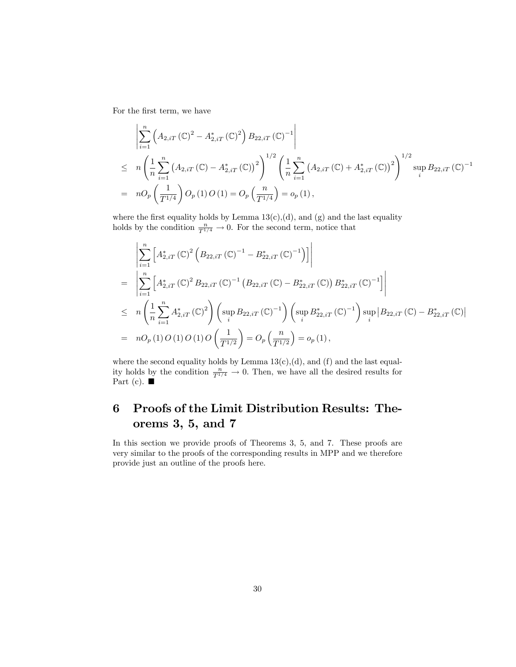For the first term, we have

$$
\begin{split}\n&\left| \sum_{i=1}^{n} \left( A_{2,iT} \left( \mathbb{C} \right)^{2} - A_{2,iT}^{*} \left( \mathbb{C} \right)^{2} \right) B_{22,iT} \left( \mathbb{C} \right)^{-1} \right| \\
&\leq n \left( \frac{1}{n} \sum_{i=1}^{n} \left( A_{2,iT} \left( \mathbb{C} \right) - A_{2,iT}^{*} \left( \mathbb{C} \right) \right)^{2} \right)^{1/2} \left( \frac{1}{n} \sum_{i=1}^{n} \left( A_{2,iT} \left( \mathbb{C} \right) + A_{2,iT}^{*} \left( \mathbb{C} \right) \right)^{2} \right)^{1/2} \sup_{i} B_{22,iT} \left( \mathbb{C} \right)^{-1} \\
&= n O_{p} \left( \frac{1}{T^{1/4}} \right) O_{p} \left( 1 \right) O \left( 1 \right) = O_{p} \left( \frac{n}{T^{1/4}} \right) = o_{p} \left( 1 \right),\n\end{split}
$$

where the first equality holds by Lemma  $13(c)$ , (d), and (g) and the last equality holds by the condition  $\frac{n}{T^{1/4}} \to 0$ . For the second term, notice that

$$
\begin{split}\n&= \left| \sum_{i=1}^{n} \left[ A_{2,iT}^{*} (\mathbb{C})^{2} \left( B_{22,iT} (\mathbb{C})^{-1} - B_{22,iT}^{*} (\mathbb{C})^{-1} \right) \right] \right| \\
&= \left| \sum_{i=1}^{n} \left[ A_{2,iT}^{*} (\mathbb{C})^{2} B_{22,iT} (\mathbb{C})^{-1} \left( B_{22,iT} (\mathbb{C}) - B_{22,iT}^{*} (\mathbb{C}) \right) B_{22,iT}^{*} (\mathbb{C})^{-1} \right] \right| \\
&\leq n \left( \frac{1}{n} \sum_{i=1}^{n} A_{2,iT}^{*} (\mathbb{C})^{2} \right) \left( \sup_{i} B_{22,iT} (\mathbb{C})^{-1} \right) \left( \sup_{i} B_{22,iT}^{*} (\mathbb{C})^{-1} \right) \sup_{i} \left| B_{22,iT} (\mathbb{C}) - B_{22,iT}^{*} (\mathbb{C}) \right| \\
&= nO_{p}(1) O(1) O(1) O\left(\frac{1}{T^{1/2}}\right) = O_{p}\left(\frac{n}{T^{1/2}}\right) = o_{p}(1),\n\end{split}
$$

where the second equality holds by Lemma  $13(c)$ , (d), and (f) and the last equality holds by the condition  $\frac{n}{T^{1/4}} \to 0$ . Then, we have all the desired results for Part (c).  $\blacksquare$ 

# 6 Proofs of the Limit Distribution Results: Theorems 3, 5, and 7

In this section we provide proofs of Theorems 3, 5, and 7. These proofs are very similar to the proofs of the corresponding results in MPP and we therefore provide just an outline of the proofs here.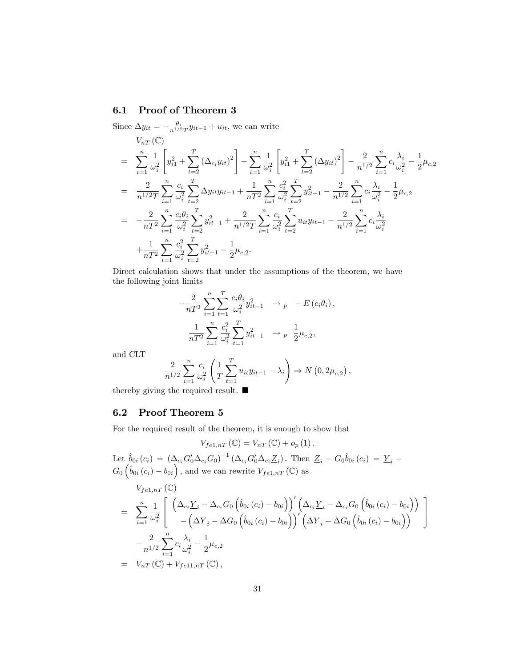## 6.1 Proof of Theorem 3

Since  $\Delta y_{it} = -\frac{\theta_i}{n^{1/2}T}y_{it-1} + u_{it}$ , we can write

$$
V_{nT}(\mathbb{C})
$$
\n
$$
= \sum_{i=1}^{n} \frac{1}{\omega_i^2} \left[ y_{i1}^2 + \sum_{t=2}^{T} \left( \Delta_{c_i} y_{it} \right)^2 \right] - \sum_{i=1}^{n} \frac{1}{\omega_i^2} \left[ y_{i1}^2 + \sum_{t=2}^{T} \left( \Delta y_{it} \right)^2 \right] - \frac{2}{n^{1/2}} \sum_{i=1}^{n} c_i \frac{\lambda_i}{\omega_i^2} - \frac{1}{2} \mu_{c,2}
$$
\n
$$
= \frac{2}{n^{1/2}T} \sum_{i=1}^{n} \frac{c_i}{\omega_i^2} \sum_{t=2}^{T} \Delta y_{it} y_{it-1} + \frac{1}{nT^2} \sum_{i=1}^{n} \frac{c_i^2}{\omega_i^2} \sum_{t=2}^{T} y_{it-1}^2 - \frac{2}{n^{1/2}} \sum_{i=1}^{n} c_i \frac{\lambda_i}{\omega_i^2} - \frac{1}{2} \mu_{c,2}
$$
\n
$$
= -\frac{2}{nT^2} \sum_{i=1}^{n} \frac{c_i \theta_i}{\omega_i^2} \sum_{t=2}^{T} y_{it-1}^2 + \frac{2}{n^{1/2}T} \sum_{i=1}^{n} \frac{c_i}{\omega_i^2} \sum_{t=2}^{T} u_{it} y_{it-1} - \frac{2}{n^{1/2}} \sum_{i=1}^{n} c_i \frac{\lambda_i}{\omega_i^2}
$$
\n
$$
+ \frac{1}{nT^2} \sum_{i=1}^{n} \frac{c_i^2}{\omega_i^2} \sum_{t=2}^{T} y_{it-1}^2 - \frac{1}{2} \mu_{c,2}.
$$

Direct calculation shows that under the assumptions of the theorem, we have the following joint limits

$$
-\frac{2}{nT^2} \sum_{i=1}^n \sum_{t=1}^T \frac{c_i \theta_i}{\omega_i^2} y_{it-1}^2 \longrightarrow_p -E(c_i \theta_i),
$$
  

$$
\frac{1}{nT^2} \sum_{i=1}^n \frac{c_i^2}{\omega_i^2} \sum_{t=1}^T y_{it-1}^2 \longrightarrow_p \frac{1}{2} \mu_{c,2},
$$

and CLT

$$
\frac{2}{n^{1/2}} \sum_{i=1}^{n} \frac{c_i}{\omega_i^2} \left( \frac{1}{T} \sum_{t=1}^{T} u_{it} y_{it-1} - \lambda_i \right) \Rightarrow N(0, 2\mu_{c,2}),
$$

thereby giving the required result.  $\blacksquare$ 

## 6.2 Proof Theorem 5

For the required result of the theorem, it is enough to show that

 $V_{fe1,nT}(\mathbb{C})=V_{nT}(\mathbb{C})+o_p(1).$ 

Let  $\hat{b}_{0i} (c_i) = (\Delta_{c_i} G_0' \Delta_{c_i} G_0)^{-1} (\Delta_{c_i} G_0' \Delta_{c_i} \underline{Z}_i)$ . Then  $\underline{Z}_i - G_0 \hat{b}_{0i} (c_i) = \underline{Y}_i G_0\left(\hat{b}_{0i}\left(c_i\right) - b_{0i}\right)$ , and we can rewrite  $V_{fe1,nT}$  (C) as

$$
V_{fe1,nT}(\mathbb{C})
$$
\n
$$
= \sum_{i=1}^{n} \frac{1}{\omega_i^2} \left[ \left( \Delta_{c_i} \underline{Y}_i - \Delta_{c_i} G_0 \left( \hat{b}_{0i} (c_i) - b_{0i} \right) \right)' \left( \Delta_{c_i} \underline{Y}_i - \Delta_{c_i} G_0 \left( \hat{b}_{0i} (c_i) - b_{0i} \right) \right) \right]
$$
\n
$$
- \frac{2}{n^{1/2}} \sum_{i=1}^{n} c_i \frac{\lambda_i}{\omega_i^2} - \frac{1}{2} \mu_{c,2}
$$
\n
$$
= V_{nT}(\mathbb{C}) + V_{fe11,nT}(\mathbb{C}),
$$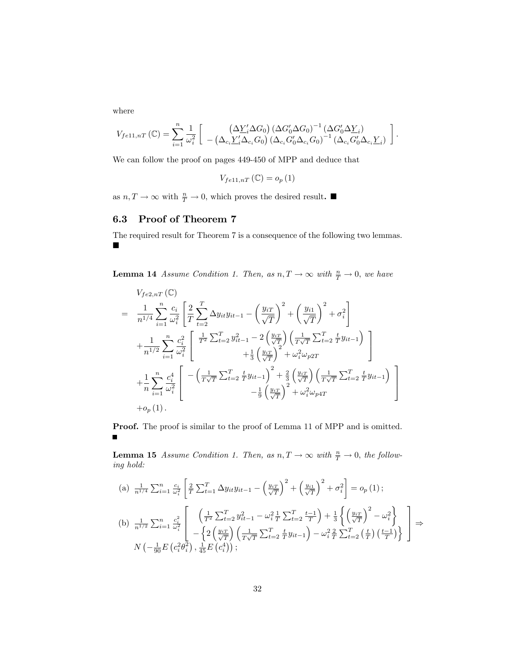where

$$
V_{f e 11, nT}(\mathbb{C}) = \sum_{i=1}^{n} \frac{1}{\omega_i^2} \left[ \begin{array}{c} \left( \Delta \underline{Y}_i^{\prime} \Delta G_0 \right) \left( \Delta G_0^{\prime} \Delta G_0 \right)^{-1} \left( \Delta G_0^{\prime} \Delta \underline{Y}_i \right) \\ - \left( \Delta_{c_i} \underline{Y}_i^{\prime} \Delta_{c_i} G_0 \right) \left( \Delta_{c_i} G_0^{\prime} \Delta_{c_i} G_0 \right)^{-1} \left( \Delta_{c_i} G_0^{\prime} \Delta_{c_i} \underline{Y}_i \right) \end{array} \right].
$$

We can follow the proof on pages 449-450 of MPP and deduce that

$$
V_{f e 11, nT} \left( \mathbb{C} \right) = o_p \left( 1 \right)
$$

as  $n, T \to \infty$  with  $\frac{n}{T} \to 0$ , which proves the desired result.

## 6.3 Proof of Theorem 7

The required result for Theorem 7 is a consequence of the following two lemmas.  $\blacksquare$ 

**Lemma 14** Assume Condition 1. Then, as  $n, T \to \infty$  with  $\frac{n}{T} \to 0$ , we have

$$
V_{fe2,nT}(\mathbb{C})
$$
\n
$$
= \frac{1}{n^{1/4}} \sum_{i=1}^{n} \frac{c_i}{\omega_i^2} \left[ \frac{2}{T} \sum_{t=2}^{T} \Delta y_{it} y_{it-1} - \left( \frac{y_{iT}}{\sqrt{T}} \right)^2 + \left( \frac{y_{i1}}{\sqrt{T}} \right)^2 + \sigma_i^2 \right]
$$
\n
$$
+ \frac{1}{n^{1/2}} \sum_{i=1}^{n} \frac{c_i^2}{\omega_i^2} \left[ \frac{\frac{1}{T^2} \sum_{t=2}^{T} y_{it-1}^2 - 2\left( \frac{y_{iT}}{\sqrt{T}} \right) \left( \frac{1}{T\sqrt{T}} \sum_{t=2}^{T} \frac{t}{T} y_{it-1} \right) + \frac{1}{3} \left( \frac{y_{iT}}{\sqrt{T}} \right)^2 + \omega_i^2 \omega_{p2T} \right]
$$
\n
$$
+ \frac{1}{n} \sum_{i=1}^{n} \frac{c_i^4}{\omega_i^2} \left[ -\left( \frac{1}{T\sqrt{T}} \sum_{t=2}^{T} \frac{t}{T} y_{it-1} \right)^2 + \frac{2}{3} \left( \frac{y_{iT}}{\sqrt{T}} \right) \left( \frac{1}{T\sqrt{T}} \sum_{t=2}^{T} \frac{t}{T} y_{it-1} \right) + \frac{2}{9} \left( \frac{y_{iT}}{\sqrt{T}} \right)^2 + \omega_i^2 \omega_{p4T} \right]
$$
\n
$$
+ o_p(1).
$$

Proof. The proof is similar to the proof of Lemma 11 of MPP and is omitted.  $\blacksquare$ 

**Lemma 15** Assume Condition 1. Then, as  $n, T \to \infty$  with  $\frac{n}{T} \to 0$ , the following hold:

(a) 
$$
\frac{1}{n^{1/4}} \sum_{i=1}^{n} \frac{c_i}{\omega_i^2} \left[ \frac{2}{T} \sum_{t=1}^{T} \Delta y_{it} y_{it-1} - \left( \frac{y_{iT}}{\sqrt{T}} \right)^2 + \left( \frac{y_{i1}}{\sqrt{T}} \right)^2 + \sigma_i^2 \right] = o_p(1);
$$
  
\n(b)  $\frac{1}{n^{1/2}} \sum_{i=1}^{n} \frac{c_i^2}{\omega_i^2} \left[ \frac{\left( \frac{1}{T^2} \sum_{t=2}^{T} y_{it-1}^2 - \omega_i^2 \frac{1}{T} \sum_{t=2}^{T} \frac{t-1}{T} \right) + \frac{1}{3} \left\{ \left( \frac{y_{iT}}{\sqrt{T}} \right)^2 - \omega_i^2 \right\}}{-\left\{ 2 \left( \frac{y_{iT}}{\sqrt{T}} \right) \left( \frac{1}{T\sqrt{T}} \sum_{t=2}^{T} \frac{t}{T} y_{it-1} \right) - \omega_i^2 \frac{2}{T} \sum_{t=2}^{T} \left( \frac{t}{T} \right) \left( \frac{t-1}{T} \right) \right\}} \right] \Rightarrow N \left( -\frac{1}{90} E \left( c_i^2 \theta_i^2 \right), \frac{1}{45} E \left( c_i^4 \right) \right);$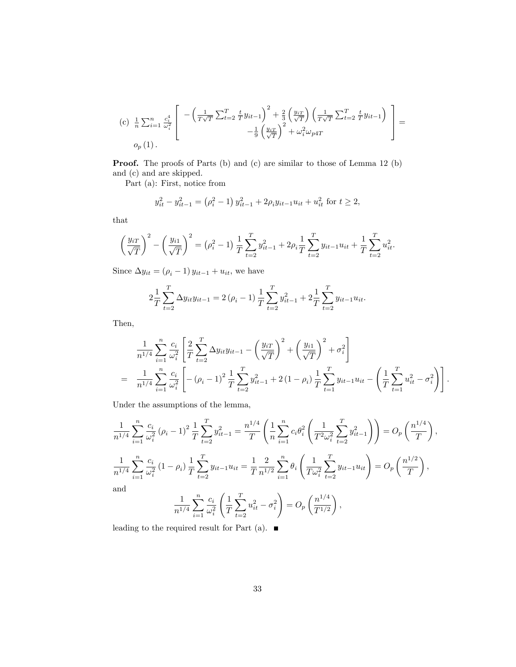$$
\begin{aligned}\n\text{(c)} \quad & \frac{1}{n} \sum_{i=1}^{n} \frac{c_i^4}{\omega_i^2} \left[ \begin{array}{c} -\left(\frac{1}{T\sqrt{T}} \sum_{t=2}^{T} \frac{t}{T} y_{it-1}\right)^2 + \frac{2}{3} \left(\frac{y_{iT}}{\sqrt{T}}\right) \left(\frac{1}{T\sqrt{T}} \sum_{t=2}^{T} \frac{t}{T} y_{it-1}\right) \\ &- \frac{1}{9} \left(\frac{y_{iT}}{\sqrt{T}}\right)^2 + \omega_i^2 \omega_{p4T} \end{array} \right] = \\
& o_p\left(1\right).\n\end{aligned}
$$

Proof. The proofs of Parts (b) and (c) are similar to those of Lemma 12 (b) and (c) and are skipped.

Part (a): First, notice from

$$
y_{it}^{2} - y_{it-1}^{2} = (\rho_{i}^{2} - 1) y_{it-1}^{2} + 2\rho_{i} y_{it-1} u_{it} + u_{it}^{2} \text{ for } t \ge 2,
$$

that

$$
\left(\frac{y_{iT}}{\sqrt{T}}\right)^2 - \left(\frac{y_{i1}}{\sqrt{T}}\right)^2 = \left(\rho_i^2 - 1\right) \frac{1}{T} \sum_{t=2}^T y_{it-1}^2 + 2\rho_i \frac{1}{T} \sum_{t=2}^T y_{it-1} u_{it} + \frac{1}{T} \sum_{t=2}^T u_{it}^2.
$$

Since  $\Delta y_{it} = (\rho_i - 1) y_{it-1} + u_{it}$ , we have

$$
2\frac{1}{T}\sum_{t=2}^{T} \Delta y_{it}y_{it-1} = 2(\rho_i - 1)\frac{1}{T}\sum_{t=2}^{T} y_{it-1}^2 + 2\frac{1}{T}\sum_{t=2}^{T} y_{it-1}u_{it}.
$$

Then,

$$
\frac{1}{n^{1/4}} \sum_{i=1}^{n} \frac{c_i}{\omega_i^2} \left[ \frac{2}{T} \sum_{t=2}^{T} \Delta y_{it} y_{it-1} - \left( \frac{y_{iT}}{\sqrt{T}} \right)^2 + \left( \frac{y_{i1}}{\sqrt{T}} \right)^2 + \sigma_i^2 \right]
$$
\n
$$
= \frac{1}{n^{1/4}} \sum_{i=1}^{n} \frac{c_i}{\omega_i^2} \left[ -(\rho_i - 1)^2 \frac{1}{T} \sum_{t=2}^{T} y_{it-1}^2 + 2(1 - \rho_i) \frac{1}{T} \sum_{t=1}^{T} y_{it-1} u_{it} - \left( \frac{1}{T} \sum_{t=1}^{T} u_{it}^2 - \sigma_i^2 \right) \right].
$$

Under the assumptions of the lemma,

$$
\frac{1}{n^{1/4}} \sum_{i=1}^{n} \frac{c_i}{\omega_i^2} (\rho_i - 1)^2 \frac{1}{T} \sum_{t=2}^{T} y_{it-1}^2 = \frac{n^{1/4}}{T} \left( \frac{1}{n} \sum_{i=1}^{n} c_i \theta_i^2 \left( \frac{1}{T^2 \omega_i^2} \sum_{t=2}^{T} y_{it-1}^2 \right) \right) = O_p \left( \frac{n^{1/4}}{T} \right),
$$
  

$$
\frac{1}{n^{1/4}} \sum_{i=1}^{n} \frac{c_i}{\omega_i^2} (1 - \rho_i) \frac{1}{T} \sum_{t=2}^{T} y_{it-1} u_{it} = \frac{1}{T} \frac{2}{n^{1/2}} \sum_{i=1}^{n} \theta_i \left( \frac{1}{T \omega_i^2} \sum_{t=2}^{T} y_{it-1} u_{it} \right) = O_p \left( \frac{n^{1/2}}{T} \right),
$$
and
$$
\frac{1}{n^{1/4}} \sum_{i=1}^{n} \frac{c_i}{\omega_i^2} \left( \frac{1}{T} \sum_{t=2}^{T} u_{it}^2 - \sigma_i^2 \right) = O_p \left( \frac{n^{1/4}}{T^{1/2}} \right),
$$

leading to the required result for Part (a).  $\blacksquare$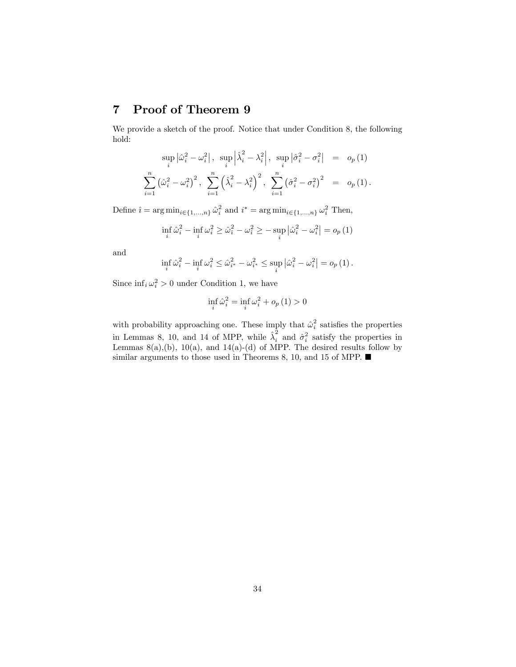# 7 Proof of Theorem 9

We provide a sketch of the proof. Notice that under Condition 8, the following hold:

$$
\sup_{i} |\hat{\omega}_{i}^{2} - \omega_{i}^{2}|, \sup_{i} |\hat{\lambda}_{i}^{2} - \lambda_{i}^{2}|, \sup_{i} |\hat{\sigma}_{i}^{2} - \sigma_{i}^{2}| = o_{p}(1)
$$
  

$$
\sum_{i=1}^{n} (\hat{\omega}_{i}^{2} - \omega_{i}^{2})^{2}, \sum_{i=1}^{n} (\hat{\lambda}_{i}^{2} - \lambda_{i}^{2})^{2}, \sum_{i=1}^{n} (\hat{\sigma}_{i}^{2} - \sigma_{i}^{2})^{2} = o_{p}(1).
$$

Define  $\hat{i} = \arg \min_{i \in \{1,...,n\}} \hat{\omega}_i^2$  and  $i^* = \arg \min_{i \in \{1,...,n\}} \omega_i^2$  Then,

$$
\inf_{i} \hat{\omega}_i^2 - \inf_{i} \omega_i^2 \ge \hat{\omega}_i^2 - \omega_i^2 \ge - \sup_{i} |\hat{\omega}_i^2 - \omega_i^2| = o_p(1)
$$

and

$$
\inf_{i} \hat{\omega}_i^2 - \inf_{i} \omega_i^2 \leq \hat{\omega}_{i^*}^2 - \omega_{i^*}^2 \leq \sup_{i} \left| \hat{\omega}_i^2 - \omega_i^2 \right| = o_p(1).
$$

Since  $\inf_i \omega_i^2 > 0$  under Condition 1, we have

$$
\inf_{i} \hat{\omega}_i^2 = \inf_{i} \omega_i^2 + o_p(1) > 0
$$

with probability approaching one. These imply that  $\hat{\omega}_i^2$  satisfies the properties in Lemmas 8, 10, and 14 of MPP, while  $\hat{\lambda}_i^2$  and  $\hat{\sigma}_i^2$  satisfy the properties in Lemmas  $8(a)$ , $(b)$ ,  $10(a)$ , and  $14(a)$ - $(d)$  of MPP. The desired results follow by similar arguments to those used in Theorems 8, 10, and 15 of MPP.  $\blacksquare$